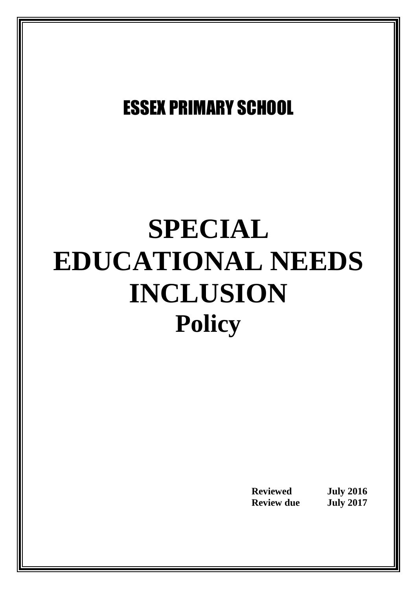## ESSEX PRIMARY SCHOOL

# **SPECIAL EDUCATIONAL NEEDS INCLUSION Policy**

**Reviewed July** 2016<br> **Review due July** 2017 **Review due**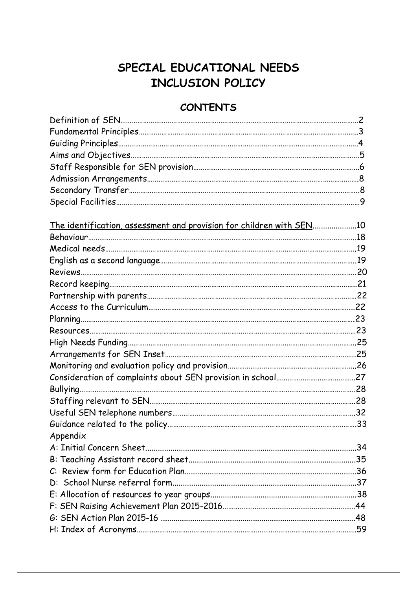### **SPECIAL EDUCATIONAL NEEDS INCLUSION POLICY**

#### **CONTENTS**

| <u>The identification, assessment and provision for children with SEN10</u> |  |
|-----------------------------------------------------------------------------|--|
|                                                                             |  |
|                                                                             |  |
|                                                                             |  |
|                                                                             |  |
|                                                                             |  |
|                                                                             |  |
|                                                                             |  |
|                                                                             |  |
|                                                                             |  |
|                                                                             |  |
|                                                                             |  |
|                                                                             |  |
|                                                                             |  |
|                                                                             |  |
|                                                                             |  |
|                                                                             |  |
|                                                                             |  |
| Appendix                                                                    |  |
|                                                                             |  |
|                                                                             |  |
|                                                                             |  |
|                                                                             |  |
|                                                                             |  |
|                                                                             |  |
|                                                                             |  |
| H: Index of Acronyms……………………………………………………………………………………………59                   |  |
|                                                                             |  |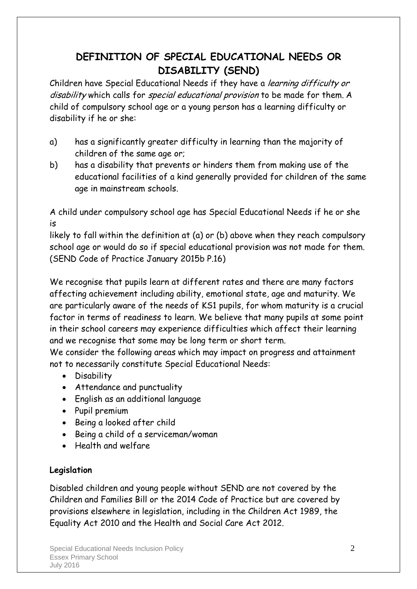#### **DEFINITION OF SPECIAL EDUCATIONAL NEEDS OR DISABILITY (SEND)**

Children have Special Educational Needs if they have a learning difficulty or disability which calls for special educational provision to be made for them. A child of compulsory school age or a young person has a learning difficulty or disability if he or she:

- a) has a significantly greater difficulty in learning than the majority of children of the same age or;
- b) has a disability that prevents or hinders them from making use of the educational facilities of a kind generally provided for children of the same age in mainstream schools.

A child under compulsory school age has Special Educational Needs if he or she is

likely to fall within the definition at (a) or (b) above when they reach compulsory school age or would do so if special educational provision was not made for them. (SEND Code of Practice January 2015b P.16)

We recognise that pupils learn at different rates and there are many factors affecting achievement including ability, emotional state, age and maturity. We are particularly aware of the needs of KS1 pupils, for whom maturity is a crucial factor in terms of readiness to learn. We believe that many pupils at some point in their school careers may experience difficulties which affect their learning and we recognise that some may be long term or short term.

We consider the following areas which may impact on progress and attainment not to necessarily constitute Special Educational Needs:

- Disability
- Attendance and punctuality
- English as an additional language
- Pupil premium
- Being a looked after child
- Being a child of a serviceman/woman
- Health and welfare

#### **Legislation**

Disabled children and young people without SEND are not covered by the Children and Families Bill or the 2014 Code of Practice but are covered by provisions elsewhere in legislation, including in the Children Act 1989, the Equality Act 2010 and the Health and Social Care Act 2012.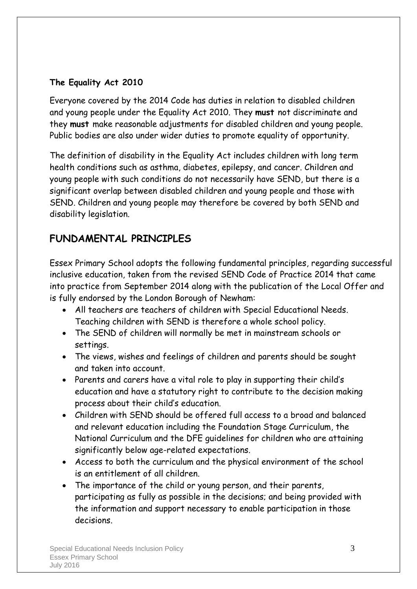#### **The Equality Act 2010**

Everyone covered by the 2014 Code has duties in relation to disabled children and young people under the Equality Act 2010. They **must** not discriminate and they **must** make reasonable adjustments for disabled children and young people. Public bodies are also under wider duties to promote equality of opportunity.

The definition of disability in the Equality Act includes children with long term health conditions such as asthma, diabetes, epilepsy, and cancer. Children and young people with such conditions do not necessarily have SEND, but there is a significant overlap between disabled children and young people and those with SEND. Children and young people may therefore be covered by both SEND and disability legislation.

#### **FUNDAMENTAL PRINCIPLES**

Essex Primary School adopts the following fundamental principles, regarding successful inclusive education, taken from the revised SEND Code of Practice 2014 that came into practice from September 2014 along with the publication of the Local Offer and is fully endorsed by the London Borough of Newham:

- All teachers are teachers of children with Special Educational Needs. Teaching children with SEND is therefore a whole school policy.
- The SEND of children will normally be met in mainstream schools or settings.
- The views, wishes and feelings of children and parents should be sought and taken into account.
- Parents and carers have a vital role to play in supporting their child's education and have a statutory right to contribute to the decision making process about their child's education.
- Children with SEND should be offered full access to a broad and balanced and relevant education including the Foundation Stage Curriculum, the National Curriculum and the DFE guidelines for children who are attaining significantly below age-related expectations.
- Access to both the curriculum and the physical environment of the school is an entitlement of all children.
- The importance of the child or young person, and their parents, participating as fully as possible in the decisions; and being provided with the information and support necessary to enable participation in those decisions.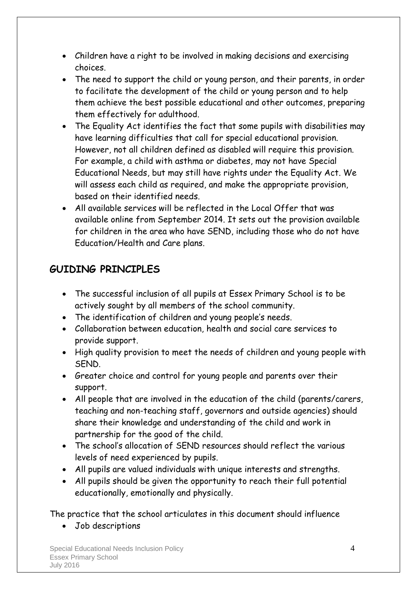- Children have a right to be involved in making decisions and exercising choices.
- The need to support the child or young person, and their parents, in order to facilitate the development of the child or young person and to help them achieve the best possible educational and other outcomes, preparing them effectively for adulthood.
- The Equality Act identifies the fact that some pupils with disabilities may have learning difficulties that call for special educational provision. However, not all children defined as disabled will require this provision. For example, a child with asthma or diabetes, may not have Special Educational Needs, but may still have rights under the Equality Act. We will assess each child as required, and make the appropriate provision, based on their identified needs.
- All available services will be reflected in the Local Offer that was available online from September 2014. It sets out the provision available for children in the area who have SEND, including those who do not have Education/Health and Care plans.

#### **GUIDING PRINCIPLES**

- The successful inclusion of all pupils at Essex Primary School is to be actively sought by all members of the school community.
- The identification of children and young people's needs.
- Collaboration between education, health and social care services to provide support.
- High quality provision to meet the needs of children and young people with SEND.
- Greater choice and control for young people and parents over their support.
- All people that are involved in the education of the child (parents/carers, teaching and non-teaching staff, governors and outside agencies) should share their knowledge and understanding of the child and work in partnership for the good of the child.
- The school's allocation of SEND resources should reflect the various levels of need experienced by pupils.
- All pupils are valued individuals with unique interests and strengths.
- All pupils should be given the opportunity to reach their full potential educationally, emotionally and physically.

The practice that the school articulates in this document should influence

Job descriptions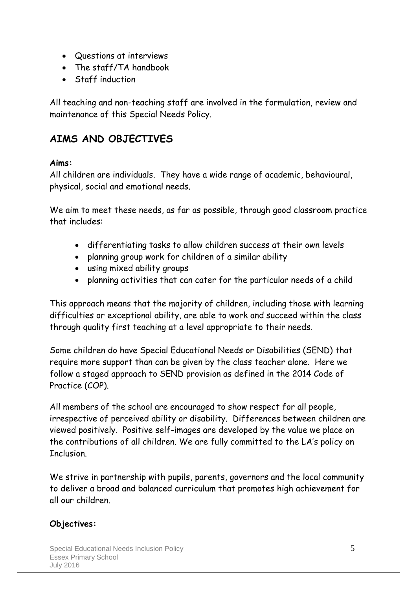- Questions at interviews
- The staff/TA handbook
- Staff induction

All teaching and non-teaching staff are involved in the formulation, review and maintenance of this Special Needs Policy.

#### **AIMS AND OBJECTIVES**

#### **Aims:**

All children are individuals. They have a wide range of academic, behavioural, physical, social and emotional needs.

We aim to meet these needs, as far as possible, through good classroom practice that includes:

- differentiating tasks to allow children success at their own levels
- planning group work for children of a similar ability
- using mixed ability groups
- planning activities that can cater for the particular needs of a child

This approach means that the majority of children, including those with learning difficulties or exceptional ability, are able to work and succeed within the class through quality first teaching at a level appropriate to their needs.

Some children do have Special Educational Needs or Disabilities (SEND) that require more support than can be given by the class teacher alone. Here we follow a staged approach to SEND provision as defined in the 2014 Code of Practice (COP).

All members of the school are encouraged to show respect for all people, irrespective of perceived ability or disability. Differences between children are viewed positively. Positive self-images are developed by the value we place on the contributions of all children. We are fully committed to the LA's policy on **Thelusion** 

We strive in partnership with pupils, parents, governors and the local community to deliver a broad and balanced curriculum that promotes high achievement for all our children.

#### **Objectives:**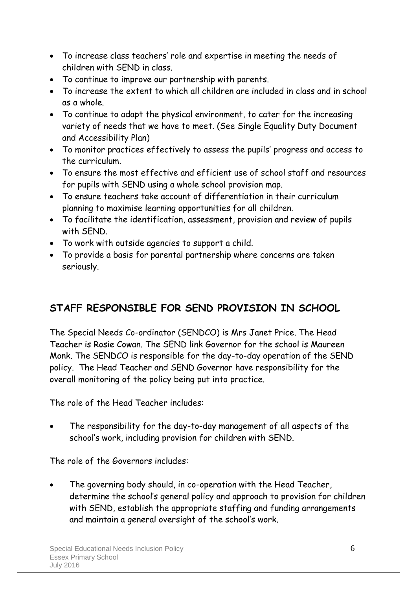- To increase class teachers' role and expertise in meeting the needs of children with SEND in class.
- To continue to improve our partnership with parents.
- To increase the extent to which all children are included in class and in school as a whole.
- To continue to adapt the physical environment, to cater for the increasing variety of needs that we have to meet. (See Single Equality Duty Document and Accessibility Plan)
- To monitor practices effectively to assess the pupils' progress and access to the curriculum.
- To ensure the most effective and efficient use of school staff and resources for pupils with SEND using a whole school provision map.
- To ensure teachers take account of differentiation in their curriculum planning to maximise learning opportunities for all children.
- To facilitate the identification, assessment, provision and review of pupils with SEND.
- To work with outside agencies to support a child.
- To provide a basis for parental partnership where concerns are taken seriously.

#### **STAFF RESPONSIBLE FOR SEND PROVISION IN SCHOOL**

The Special Needs Co-ordinator (SENDCO) is Mrs Janet Price. The Head Teacher is Rosie Cowan. The SEND link Governor for the school is Maureen Monk. The SENDCO is responsible for the day-to-day operation of the SEND policy. The Head Teacher and SEND Governor have responsibility for the overall monitoring of the policy being put into practice.

The role of the Head Teacher includes:

 The responsibility for the day-to-day management of all aspects of the school's work, including provision for children with SEND.

The role of the Governors includes:

 The governing body should, in co-operation with the Head Teacher, determine the school's general policy and approach to provision for children with SEND, establish the appropriate staffing and funding arrangements and maintain a general oversight of the school's work.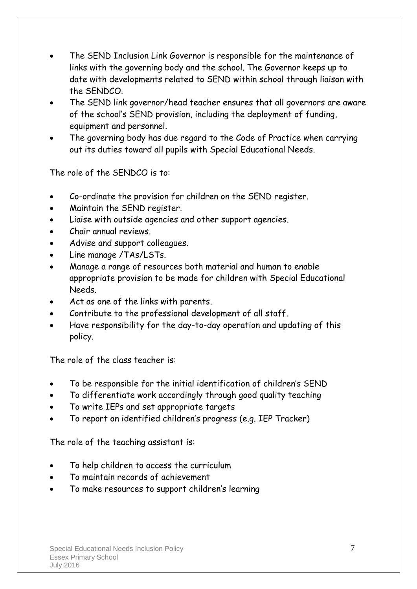- The SEND Inclusion Link Governor is responsible for the maintenance of links with the governing body and the school. The Governor keeps up to date with developments related to SEND within school through liaison with the SENDCO.
- The SEND link governor/head teacher ensures that all governors are aware of the school's SEND provision, including the deployment of funding, equipment and personnel.
- The governing body has due regard to the Code of Practice when carrying out its duties toward all pupils with Special Educational Needs.

The role of the SENDCO is to:

- Co-ordinate the provision for children on the SEND register.
- Maintain the SEND register.
- Liaise with outside agencies and other support agencies.
- Chair annual reviews.
- Advise and support colleagues.
- Line manage /TAs/LSTs.
- Manage a range of resources both material and human to enable appropriate provision to be made for children with Special Educational Needs.
- Act as one of the links with parents.
- Contribute to the professional development of all staff.
- Have responsibility for the day-to-day operation and updating of this policy.

The role of the class teacher is:

- To be responsible for the initial identification of children's SEND
- To differentiate work accordingly through good quality teaching
- To write IEPs and set appropriate targets
- To report on identified children's progress (e.g. IEP Tracker)

The role of the teaching assistant is:

- To help children to access the curriculum
- To maintain records of achievement
- To make resources to support children's learning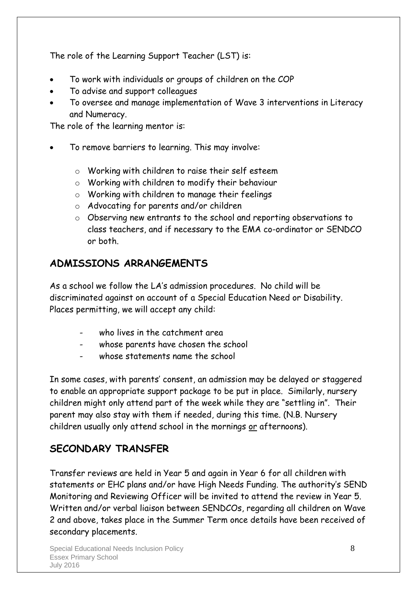The role of the Learning Support Teacher (LST) is:

- To work with individuals or groups of children on the COP
- To advise and support colleagues
- To oversee and manage implementation of Wave 3 interventions in Literacy and Numeracy.

The role of the learning mentor is:

- To remove barriers to learning. This may involve:
	- o Working with children to raise their self esteem
	- o Working with children to modify their behaviour
	- o Working with children to manage their feelings
	- o Advocating for parents and/or children
	- o Observing new entrants to the school and reporting observations to class teachers, and if necessary to the EMA co-ordinator or SENDCO or both.

#### **ADMISSIONS ARRANGEMENTS**

As a school we follow the LA's admission procedures. No child will be discriminated against on account of a Special Education Need or Disability. Places permitting, we will accept any child:

- who lives in the catchment area
- whose parents have chosen the school
- whose statements name the school

In some cases, with parents' consent, an admission may be delayed or staggered to enable an appropriate support package to be put in place. Similarly, nursery children might only attend part of the week while they are "settling in". Their parent may also stay with them if needed, during this time. (N.B. Nursery children usually only attend school in the mornings or afternoons).

#### **SECONDARY TRANSFER**

Transfer reviews are held in Year 5 and again in Year 6 for all children with statements or EHC plans and/or have High Needs Funding. The authority's SEND Monitoring and Reviewing Officer will be invited to attend the review in Year 5. Written and/or verbal liaison between SENDCOs, regarding all children on Wave 2 and above, takes place in the Summer Term once details have been received of secondary placements.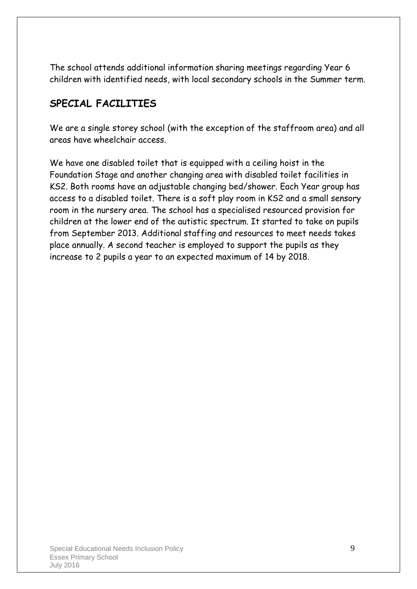The school attends additional information sharing meetings regarding Year 6 children with identified needs, with local secondary schools in the Summer term.

#### **SPECIAL FACILITIES**

We are a single storey school (with the exception of the staffroom area) and all areas have wheelchair access.

We have one disabled toilet that is equipped with a ceiling hoist in the Foundation Stage and another changing area with disabled toilet facilities in KS2. Both rooms have an adjustable changing bed/shower. Each Year group has access to a disabled toilet. There is a soft play room in KS2 and a small sensory room in the nursery area. The school has a specialised resourced provision for children at the lower end of the autistic spectrum. It started to take on pupils from September 2013. Additional staffing and resources to meet needs takes place annually. A second teacher is employed to support the pupils as they increase to 2 pupils a year to an expected maximum of 14 by 2018.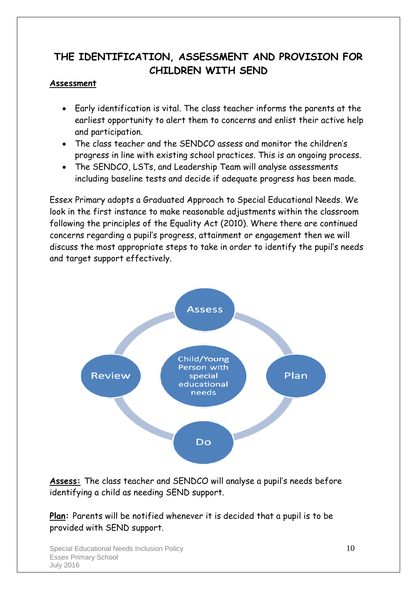#### **THE IDENTIFICATION, ASSESSMENT AND PROVISION FOR CHILDREN WITH SEND**

#### **Assessment**

- Early identification is vital. The class teacher informs the parents at the earliest opportunity to alert them to concerns and enlist their active help and participation.
- The class teacher and the SENDCO assess and monitor the children's progress in line with existing school practices. This is an ongoing process.
- The SENDCO, LSTs, and Leadership Team will analyse assessments including baseline tests and decide if adequate progress has been made.

Essex Primary adopts a Graduated Approach to Special Educational Needs. We look in the first instance to make reasonable adjustments within the classroom following the principles of the Equality Act (2010). Where there are continued concerns regarding a pupil's progress, attainment or engagement then we will discuss the most appropriate steps to take in order to identify the pupil's needs and target support effectively.



**Assess:** The class teacher and SENDCO will analyse a pupil's needs before identifying a child as needing SEND support.

**Plan:** Parents will be notified whenever it is decided that a pupil is to be provided with SEND support.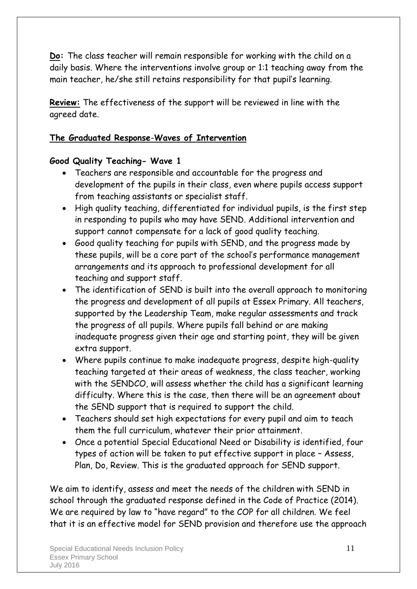**Do:** The class teacher will remain responsible for working with the child on a daily basis. Where the interventions involve group or 1:1 teaching away from the main teacher, he/she still retains responsibility for that pupil's learning.

**Review:** The effectiveness of the support will be reviewed in line with the agreed date.

#### **The Graduated Response**-**Waves of Intervention**

#### **Good Quality Teaching- Wave 1**

- Teachers are responsible and accountable for the progress and development of the pupils in their class, even where pupils access support from teaching assistants or specialist staff.
- High quality teaching, differentiated for individual pupils, is the first step in responding to pupils who may have SEND. Additional intervention and support cannot compensate for a lack of good quality teaching.
- Good quality teaching for pupils with SEND, and the progress made by these pupils, will be a core part of the school's performance management arrangements and its approach to professional development for all teaching and support staff.
- The identification of SEND is built into the overall approach to monitoring the progress and development of all pupils at Essex Primary. All teachers, supported by the Leadership Team, make regular assessments and track the progress of all pupils. Where pupils fall behind or are making inadequate progress given their age and starting point, they will be given extra support.
- Where pupils continue to make inadequate progress, despite high-quality teaching targeted at their areas of weakness, the class teacher, working with the SENDCO, will assess whether the child has a significant learning difficulty. Where this is the case, then there will be an agreement about the SEND support that is required to support the child.
- Teachers should set high expectations for every pupil and aim to teach them the full curriculum, whatever their prior attainment.
- Once a potential Special Educational Need or Disability is identified, four types of action will be taken to put effective support in place – Assess, Plan, Do, Review. This is the graduated approach for SEND support.

We aim to identify, assess and meet the needs of the children with SEND in school through the graduated response defined in the Code of Practice (2014). We are required by law to "have regard" to the COP for all children. We feel that it is an effective model for SEND provision and therefore use the approach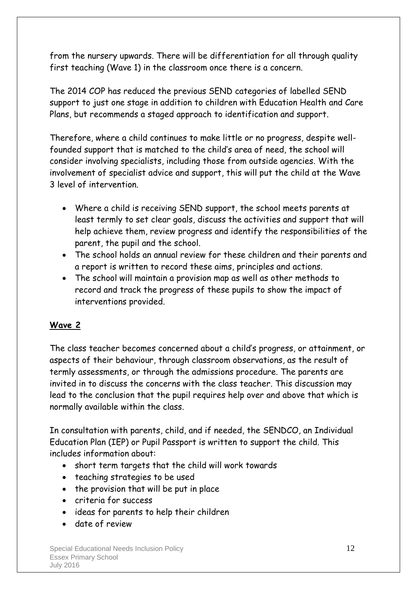from the nursery upwards. There will be differentiation for all through quality first teaching (Wave 1) in the classroom once there is a concern.

The 2014 COP has reduced the previous SEND categories of labelled SEND support to just one stage in addition to children with Education Health and Care Plans, but recommends a staged approach to identification and support.

Therefore, where a child continues to make little or no progress, despite wellfounded support that is matched to the child's area of need, the school will consider involving specialists, including those from outside agencies. With the involvement of specialist advice and support, this will put the child at the Wave 3 level of intervention.

- Where a child is receiving SEND support, the school meets parents at least termly to set clear goals, discuss the activities and support that will help achieve them, review progress and identify the responsibilities of the parent, the pupil and the school.
- The school holds an annual review for these children and their parents and a report is written to record these aims, principles and actions.
- The school will maintain a provision map as well as other methods to record and track the progress of these pupils to show the impact of interventions provided.

#### **Wave 2**

The class teacher becomes concerned about a child's progress, or attainment, or aspects of their behaviour, through classroom observations, as the result of termly assessments, or through the admissions procedure. The parents are invited in to discuss the concerns with the class teacher. This discussion may lead to the conclusion that the pupil requires help over and above that which is normally available within the class.

In consultation with parents, child, and if needed, the SENDCO, an Individual Education Plan (IEP) or Pupil Passport is written to support the child. This includes information about:

- short term targets that the child will work towards
- teaching strategies to be used
- the provision that will be put in place
- criteria for success
- ideas for parents to help their children
- date of review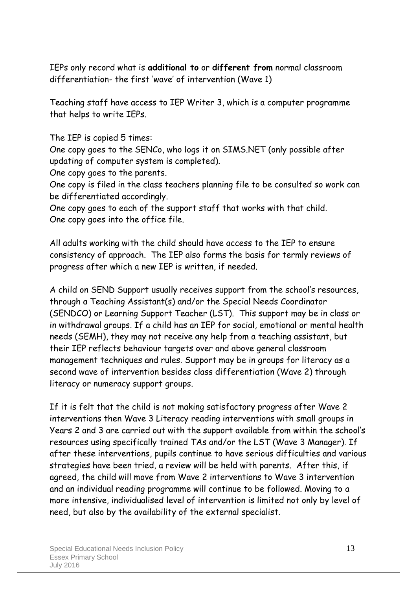IEPs only record what is **additional to** or **different from** normal classroom differentiation- the first 'wave' of intervention (Wave 1)

Teaching staff have access to IEP Writer 3, which is a computer programme that helps to write IEPs.

The IEP is copied 5 times:

One copy goes to the SENCo, who logs it on SIMS.NET (only possible after updating of computer system is completed).

One copy goes to the parents.

One copy is filed in the class teachers planning file to be consulted so work can be differentiated accordingly.

One copy goes to each of the support staff that works with that child. One copy goes into the office file.

All adults working with the child should have access to the IEP to ensure consistency of approach. The IEP also forms the basis for termly reviews of progress after which a new IEP is written, if needed.

A child on SEND Support usually receives support from the school's resources, through a Teaching Assistant(s) and/or the Special Needs Coordinator (SENDCO) or Learning Support Teacher (LST). This support may be in class or in withdrawal groups. If a child has an IEP for social, emotional or mental health needs (SEMH), they may not receive any help from a teaching assistant, but their IEP reflects behaviour targets over and above general classroom management techniques and rules. Support may be in groups for literacy as a second wave of intervention besides class differentiation (Wave 2) through literacy or numeracy support groups.

If it is felt that the child is not making satisfactory progress after Wave 2 interventions then Wave 3 Literacy reading interventions with small groups in Years 2 and 3 are carried out with the support available from within the school's resources using specifically trained TAs and/or the LST (Wave 3 Manager). If after these interventions, pupils continue to have serious difficulties and various strategies have been tried, a review will be held with parents. After this, if agreed, the child will move from Wave 2 interventions to Wave 3 intervention and an individual reading programme will continue to be followed. Moving to a more intensive, individualised level of intervention is limited not only by level of need, but also by the availability of the external specialist.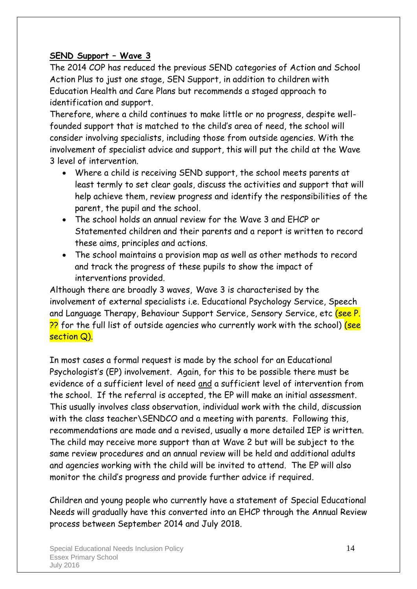#### **SEND Support – Wave 3**

The 2014 COP has reduced the previous SEND categories of Action and School Action Plus to just one stage, SEN Support, in addition to children with Education Health and Care Plans but recommends a staged approach to identification and support.

Therefore, where a child continues to make little or no progress, despite wellfounded support that is matched to the child's area of need, the school will consider involving specialists, including those from outside agencies. With the involvement of specialist advice and support, this will put the child at the Wave 3 level of intervention.

- Where a child is receiving SEND support, the school meets parents at least termly to set clear goals, discuss the activities and support that will help achieve them, review progress and identify the responsibilities of the parent, the pupil and the school.
- The school holds an annual review for the Wave 3 and EHCP or Statemented children and their parents and a report is written to record these aims, principles and actions.
- The school maintains a provision map as well as other methods to record and track the progress of these pupils to show the impact of interventions provided.

Although there are broadly 3 waves, Wave 3 is characterised by the involvement of external specialists i.e. Educational Psychology Service, Speech and Language Therapy, Behaviour Support Service, Sensory Service, etc (see P. 22 for the full list of outside agencies who currently work with the school) (see section Q).

In most cases a formal request is made by the school for an Educational Psychologist's (EP) involvement. Again, for this to be possible there must be evidence of a sufficient level of need and a sufficient level of intervention from the school. If the referral is accepted, the EP will make an initial assessment. This usually involves class observation, individual work with the child, discussion with the class teacher\SENDCO and a meeting with parents. Following this, recommendations are made and a revised, usually a more detailed IEP is written. The child may receive more support than at Wave 2 but will be subject to the same review procedures and an annual review will be held and additional adults and agencies working with the child will be invited to attend. The EP will also monitor the child's progress and provide further advice if required.

Children and young people who currently have a statement of Special Educational Needs will gradually have this converted into an EHCP through the Annual Review process between September 2014 and July 2018.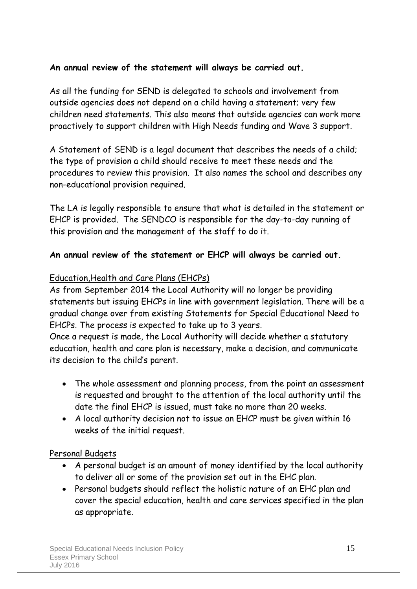#### **An annual review of the statement will always be carried out.**

As all the funding for SEND is delegated to schools and involvement from outside agencies does not depend on a child having a statement; very few children need statements. This also means that outside agencies can work more proactively to support children with High Needs funding and Wave 3 support.

A Statement of SEND is a legal document that describes the needs of a child; the type of provision a child should receive to meet these needs and the procedures to review this provision. It also names the school and describes any non-educational provision required.

The LA is legally responsible to ensure that what is detailed in the statement or EHCP is provided. The SENDCO is responsible for the day-to-day running of this provision and the management of the staff to do it.

#### **An annual review of the statement or EHCP will always be carried out.**

#### Education,Health and Care Plans (EHCPs)

As from September 2014 the Local Authority will no longer be providing statements but issuing EHCPs in line with government legislation. There will be a gradual change over from existing Statements for Special Educational Need to EHCPs. The process is expected to take up to 3 years.

Once a request is made, the Local Authority will decide whether a statutory education, health and care plan is necessary, make a decision, and communicate its decision to the child's parent.

- The whole assessment and planning process, from the point an assessment is requested and brought to the attention of the local authority until the date the final EHCP is issued, must take no more than 20 weeks.
- A local authority decision not to issue an EHCP must be given within 16 weeks of the initial request.

#### Personal Budgets

- A personal budget is an amount of money identified by the local authority to deliver all or some of the provision set out in the EHC plan.
- Personal budgets should reflect the holistic nature of an EHC plan and cover the special education, health and care services specified in the plan as appropriate.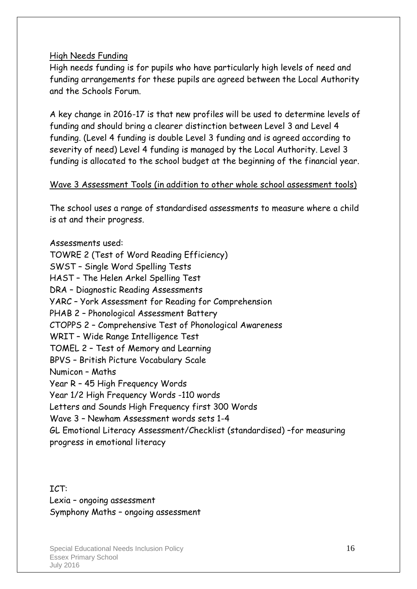#### High Needs Funding

High needs funding is for pupils who have particularly high levels of need and funding arrangements for these pupils are agreed between the Local Authority and the Schools Forum.

A key change in 2016-17 is that new profiles will be used to determine levels of funding and should bring a clearer distinction between Level 3 and Level 4 funding. (Level 4 funding is double Level 3 funding and is agreed according to severity of need) Level 4 funding is managed by the Local Authority. Level 3 funding is allocated to the school budget at the beginning of the financial year.

#### Wave 3 Assessment Tools (in addition to other whole school assessment tools)

The school uses a range of standardised assessments to measure where a child is at and their progress.

Assessments used: TOWRE 2 (Test of Word Reading Efficiency) SWST – Single Word Spelling Tests HAST – The Helen Arkel Spelling Test DRA – Diagnostic Reading Assessments YARC – York Assessment for Reading for Comprehension PHAB 2 – Phonological Assessment Battery CTOPPS 2 – Comprehensive Test of Phonological Awareness WRIT – Wide Range Intelligence Test TOMEL 2 – Test of Memory and Learning BPVS – British Picture Vocabulary Scale Numicon – Maths Year R – 45 High Frequency Words Year 1/2 High Frequency Words -110 words Letters and Sounds High Frequency first 300 Words Wave 3 – Newham Assessment words sets 1-4 GL Emotional Literacy Assessment/Checklist (standardised) –for measuring progress in emotional literacy

ICT: Lexia – ongoing assessment Symphony Maths – ongoing assessment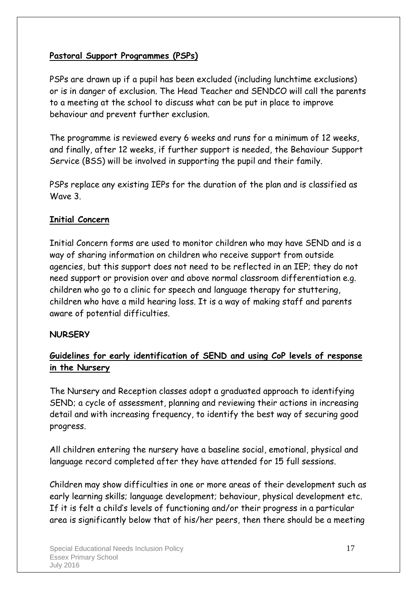#### **Pastoral Support Programmes (PSPs)**

PSPs are drawn up if a pupil has been excluded (including lunchtime exclusions) or is in danger of exclusion. The Head Teacher and SENDCO will call the parents to a meeting at the school to discuss what can be put in place to improve behaviour and prevent further exclusion.

The programme is reviewed every 6 weeks and runs for a minimum of 12 weeks, and finally, after 12 weeks, if further support is needed, the Behaviour Support Service (BSS) will be involved in supporting the pupil and their family.

PSPs replace any existing IEPs for the duration of the plan and is classified as Wave 3.

#### **Initial Concern**

Initial Concern forms are used to monitor children who may have SEND and is a way of sharing information on children who receive support from outside agencies, but this support does not need to be reflected in an IEP; they do not need support or provision over and above normal classroom differentiation e.g. children who go to a clinic for speech and language therapy for stuttering, children who have a mild hearing loss. It is a way of making staff and parents aware of potential difficulties.

#### **NURSERY**

#### **Guidelines for early identification of SEND and using CoP levels of response in the Nursery**

The Nursery and Reception classes adopt a graduated approach to identifying SEND; a cycle of assessment, planning and reviewing their actions in increasing detail and with increasing frequency, to identify the best way of securing good progress.

All children entering the nursery have a baseline social, emotional, physical and language record completed after they have attended for 15 full sessions.

Children may show difficulties in one or more areas of their development such as early learning skills; language development; behaviour, physical development etc. If it is felt a child's levels of functioning and/or their progress in a particular area is significantly below that of his/her peers, then there should be a meeting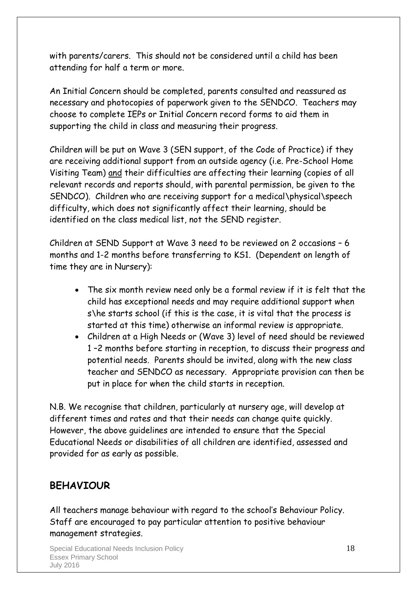with parents/carers. This should not be considered until a child has been attending for half a term or more.

An Initial Concern should be completed, parents consulted and reassured as necessary and photocopies of paperwork given to the SENDCO. Teachers may choose to complete IEPs or Initial Concern record forms to aid them in supporting the child in class and measuring their progress.

Children will be put on Wave 3 (SEN support, of the Code of Practice) if they are receiving additional support from an outside agency (i.e. Pre-School Home Visiting Team) and their difficulties are affecting their learning (copies of all relevant records and reports should, with parental permission, be given to the SENDCO). Children who are receiving support for a medical\physical\speech difficulty, which does not significantly affect their learning, should be identified on the class medical list, not the SEND register.

Children at SEND Support at Wave 3 need to be reviewed on 2 occasions – 6 months and 1-2 months before transferring to KS1. (Dependent on length of time they are in Nursery):

- The six month review need only be a formal review if it is felt that the child has exceptional needs and may require additional support when s\he starts school (if this is the case, it is vital that the process is started at this time) otherwise an informal review is appropriate.
- Children at a High Needs or (Wave 3) level of need should be reviewed 1 –2 months before starting in reception, to discuss their progress and potential needs. Parents should be invited, along with the new class teacher and SENDCO as necessary. Appropriate provision can then be put in place for when the child starts in reception.

N.B. We recognise that children, particularly at nursery age, will develop at different times and rates and that their needs can change quite quickly. However, the above guidelines are intended to ensure that the Special Educational Needs or disabilities of all children are identified, assessed and provided for as early as possible.

#### **BEHAVIOUR**

All teachers manage behaviour with regard to the school's Behaviour Policy. Staff are encouraged to pay particular attention to positive behaviour management strategies.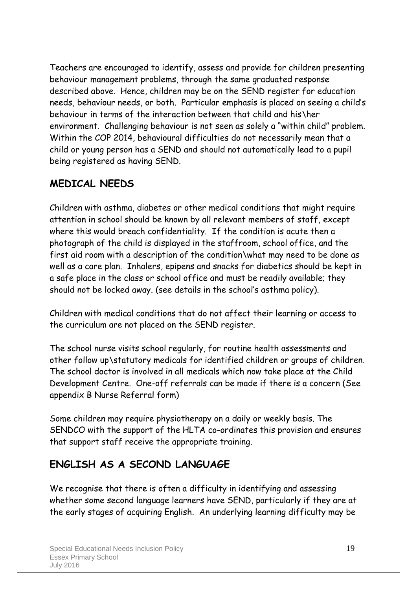Teachers are encouraged to identify, assess and provide for children presenting behaviour management problems, through the same graduated response described above. Hence, children may be on the SEND register for education needs, behaviour needs, or both. Particular emphasis is placed on seeing a child's behaviour in terms of the interaction between that child and his\her environment. Challenging behaviour is not seen as solely a "within child" problem. Within the COP 2014, behavioural difficulties do not necessarily mean that a child or young person has a SEND and should not automatically lead to a pupil being registered as having SEND.

#### **MEDICAL NEEDS**

Children with asthma, diabetes or other medical conditions that might require attention in school should be known by all relevant members of staff, except where this would breach confidentiality. If the condition is acute then a photograph of the child is displayed in the staffroom, school office, and the first aid room with a description of the condition\what may need to be done as well as a care plan. Inhalers, epipens and snacks for diabetics should be kept in a safe place in the class or school office and must be readily available; they should not be locked away. (see details in the school's asthma policy).

Children with medical conditions that do not affect their learning or access to the curriculum are not placed on the SEND register.

The school nurse visits school regularly, for routine health assessments and other follow up\statutory medicals for identified children or groups of children. The school doctor is involved in all medicals which now take place at the Child Development Centre. One-off referrals can be made if there is a concern (See appendix B Nurse Referral form)

Some children may require physiotherapy on a daily or weekly basis. The SENDCO with the support of the HLTA co-ordinates this provision and ensures that support staff receive the appropriate training.

#### **ENGLISH AS A SECOND LANGUAGE**

We recognise that there is often a difficulty in identifying and assessing whether some second language learners have SEND, particularly if they are at the early stages of acquiring English. An underlying learning difficulty may be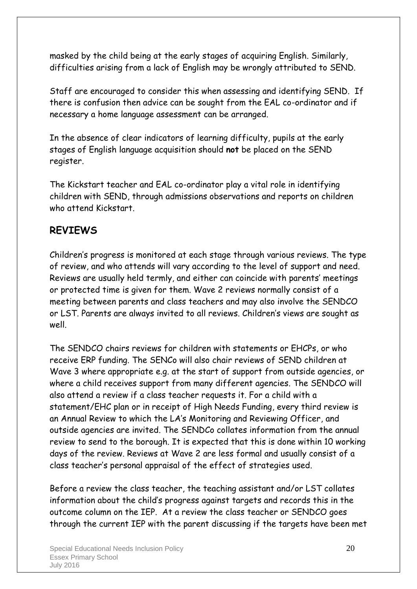masked by the child being at the early stages of acquiring English. Similarly, difficulties arising from a lack of English may be wrongly attributed to SEND.

Staff are encouraged to consider this when assessing and identifying SEND. If there is confusion then advice can be sought from the EAL co-ordinator and if necessary a home language assessment can be arranged.

In the absence of clear indicators of learning difficulty, pupils at the early stages of English language acquisition should **not** be placed on the SEND register.

The Kickstart teacher and EAL co-ordinator play a vital role in identifying children with SEND, through admissions observations and reports on children who attend Kickstart.

#### **REVIEWS**

Children's progress is monitored at each stage through various reviews. The type of review, and who attends will vary according to the level of support and need. Reviews are usually held termly, and either can coincide with parents' meetings or protected time is given for them. Wave 2 reviews normally consist of a meeting between parents and class teachers and may also involve the SENDCO or LST. Parents are always invited to all reviews. Children's views are sought as well.

The SENDCO chairs reviews for children with statements or EHCPs, or who receive ERP funding. The SENCo will also chair reviews of SEND children at Wave 3 where appropriate e.g. at the start of support from outside agencies, or where a child receives support from many different agencies. The SENDCO will also attend a review if a class teacher requests it. For a child with a statement/EHC plan or in receipt of High Needs Funding, every third review is an Annual Review to which the LA's Monitoring and Reviewing Officer, and outside agencies are invited. The SENDCo collates information from the annual review to send to the borough. It is expected that this is done within 10 working days of the review. Reviews at Wave 2 are less formal and usually consist of a class teacher's personal appraisal of the effect of strategies used.

Before a review the class teacher, the teaching assistant and/or LST collates information about the child's progress against targets and records this in the outcome column on the IEP. At a review the class teacher or SENDCO goes through the current IEP with the parent discussing if the targets have been met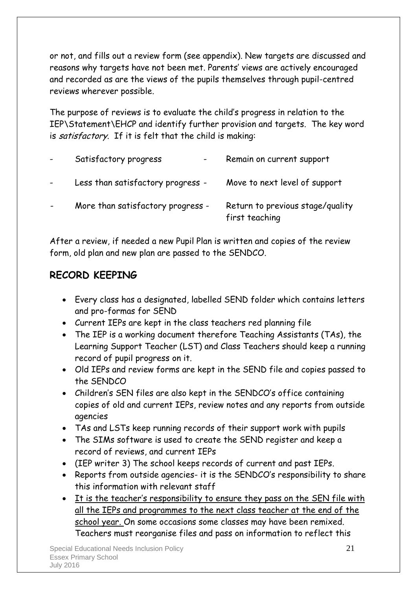or not, and fills out a review form (see appendix). New targets are discussed and reasons why targets have not been met. Parents' views are actively encouraged and recorded as are the views of the pupils themselves through pupil-centred reviews wherever possible.

The purpose of reviews is to evaluate the child's progress in relation to the IEP\Statement\EHCP and identify further provision and targets. The key word is satisfactory. If it is felt that the child is making:

| $\blacksquare$ | Satisfactory progress<br>$\overline{\phantom{0}}$ | Remain on current support                          |
|----------------|---------------------------------------------------|----------------------------------------------------|
|                | Less than satisfactory progress -                 | Move to next level of support                      |
|                | More than satisfactory progress -                 | Return to previous stage/quality<br>first teaching |

After a review, if needed a new Pupil Plan is written and copies of the review form, old plan and new plan are passed to the SENDCO.

#### **RECORD KEEPING**

- Every class has a designated, labelled SEND folder which contains letters and pro-formas for SEND
- Current IEPs are kept in the class teachers red planning file
- The IEP is a working document therefore Teaching Assistants (TAs), the Learning Support Teacher (LST) and Class Teachers should keep a running record of pupil progress on it.
- Old IEPs and review forms are kept in the SEND file and copies passed to the SENDCO
- Children's SEN files are also kept in the SENDCO's office containing copies of old and current IEPs, review notes and any reports from outside agencies
- TAs and LSTs keep running records of their support work with pupils
- The SIMs software is used to create the SEND register and keep a record of reviews, and current IEPs
- (IEP writer 3) The school keeps records of current and past IEPs.
- Reports from outside agencies- it is the SENDCO's responsibility to share this information with relevant staff
- It is the teacher's responsibility to ensure they pass on the SEN file with all the IEPs and programmes to the next class teacher at the end of the school year. On some occasions some classes may have been remixed. Teachers must reorganise files and pass on information to reflect this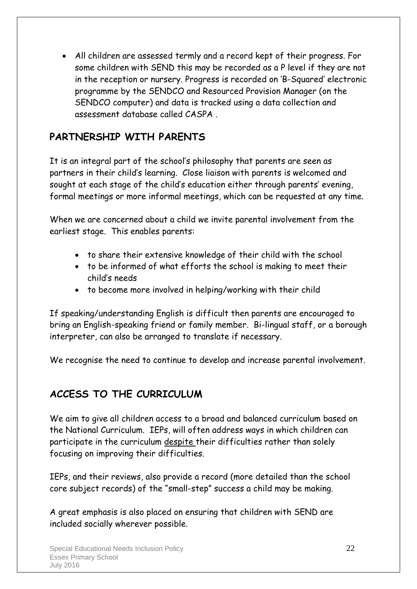All children are assessed termly and a record kept of their progress. For some children with SEND this may be recorded as a P level if they are not in the reception or nursery. Progress is recorded on 'B-Squared' electronic programme by the SENDCO and Resourced Provision Manager (on the SENDCO computer) and data is tracked using a data collection and assessment database called CASPA .

#### **PARTNERSHIP WITH PARENTS**

It is an integral part of the school's philosophy that parents are seen as partners in their child's learning. Close liaison with parents is welcomed and sought at each stage of the child's education either through parents' evening, formal meetings or more informal meetings, which can be requested at any time.

When we are concerned about a child we invite parental involvement from the earliest stage. This enables parents:

- to share their extensive knowledge of their child with the school
- to be informed of what efforts the school is making to meet their child's needs
- to become more involved in helping/working with their child

If speaking/understanding English is difficult then parents are encouraged to bring an English-speaking friend or family member. Bi-lingual staff, or a borough interpreter, can also be arranged to translate if necessary.

We recognise the need to continue to develop and increase parental involvement.

#### **ACCESS TO THE CURRICULUM**

We aim to give all children access to a broad and balanced curriculum based on the National Curriculum. IEPs, will often address ways in which children can participate in the curriculum despite their difficulties rather than solely focusing on improving their difficulties.

IEPs, and their reviews, also provide a record (more detailed than the school core subject records) of the "small-step" success a child may be making.

A great emphasis is also placed on ensuring that children with SEND are included socially wherever possible.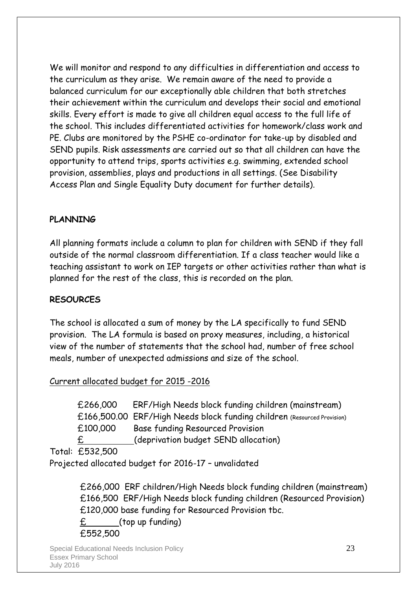We will monitor and respond to any difficulties in differentiation and access to the curriculum as they arise. We remain aware of the need to provide a balanced curriculum for our exceptionally able children that both stretches their achievement within the curriculum and develops their social and emotional skills. Every effort is made to give all children equal access to the full life of the school. This includes differentiated activities for homework/class work and PE. Clubs are monitored by the PSHE co-ordinator for take-up by disabled and SEND pupils. Risk assessments are carried out so that all children can have the opportunity to attend trips, sports activities e.g. swimming, extended school provision, assemblies, plays and productions in all settings. (See Disability Access Plan and Single Equality Duty document for further details).

#### **PLANNING**

All planning formats include a column to plan for children with SEND if they fall outside of the normal classroom differentiation. If a class teacher would like a teaching assistant to work on IEP targets or other activities rather than what is planned for the rest of the class, this is recorded on the plan.

#### **RESOURCES**

The school is allocated a sum of money by the LA specifically to fund SEND provision. The LA formula is based on proxy measures, including, a historical view of the number of statements that the school had, number of free school meals, number of unexpected admissions and size of the school.

#### Current allocated budget for 2015 -2016

 £266,000 ERF/High Needs block funding children (mainstream) £166,500.00 ERF/High Needs block funding children (Resourced Provision) £100,000 Base funding Resourced Provision £ (deprivation budget SEND allocation)

Total: £532,500

Projected allocated budget for 2016-17 – unvalidated

 £266,000 ERF children/High Needs block funding children (mainstream) £166,500 ERF/High Needs block funding children (Resourced Provision) £120,000 base funding for Resourced Provision tbc.  $E$  (top up funding)

£552,500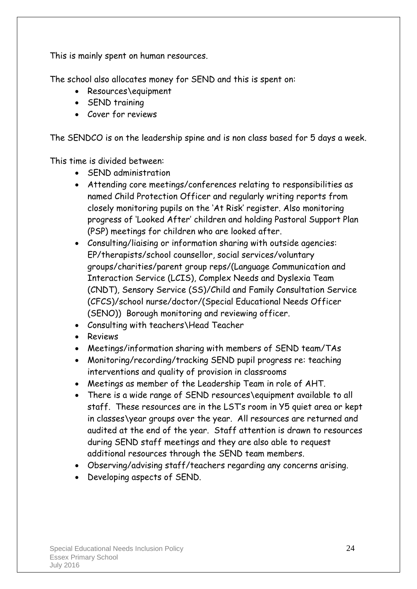This is mainly spent on human resources.

The school also allocates money for SEND and this is spent on:

- Resources\equipment
- SEND training
- Cover for reviews

The SENDCO is on the leadership spine and is non class based for 5 days a week.

This time is divided between:

- SEND administration
- Attending core meetings/conferences relating to responsibilities as named Child Protection Officer and regularly writing reports from closely monitoring pupils on the 'At Risk' register. Also monitoring progress of 'Looked After' children and holding Pastoral Support Plan (PSP) meetings for children who are looked after.
- Consulting/liaising or information sharing with outside agencies: EP/therapists/school counsellor, social services/voluntary groups/charities/parent group reps/(Language Communication and Interaction Service (LCIS), Complex Needs and Dyslexia Team (CNDT), Sensory Service (SS)/Child and Family Consultation Service (CFCS)/school nurse/doctor/(Special Educational Needs Officer (SENO)) Borough monitoring and reviewing officer.
- Consulting with teachers\Head Teacher
- Reviews
- Meetings/information sharing with members of SEND team/TAs
- Monitoring/recording/tracking SEND pupil progress re: teaching interventions and quality of provision in classrooms
- Meetings as member of the Leadership Team in role of AHT.
- There is a wide range of SEND resources\equipment available to all staff. These resources are in the LST's room in Y5 quiet area or kept in classes\year groups over the year. All resources are returned and audited at the end of the year. Staff attention is drawn to resources during SEND staff meetings and they are also able to request additional resources through the SEND team members.
- Observing/advising staff/teachers regarding any concerns arising.
- Developing aspects of SEND.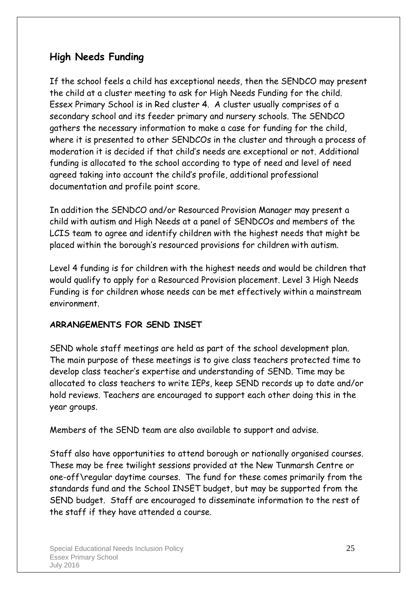#### **High Needs Funding**

If the school feels a child has exceptional needs, then the SENDCO may present the child at a cluster meeting to ask for High Needs Funding for the child. Essex Primary School is in Red cluster 4. A cluster usually comprises of a secondary school and its feeder primary and nursery schools. The SENDCO gathers the necessary information to make a case for funding for the child, where it is presented to other SENDCOs in the cluster and through a process of moderation it is decided if that child's needs are exceptional or not. Additional funding is allocated to the school according to type of need and level of need agreed taking into account the child's profile, additional professional documentation and profile point score.

In addition the SENDCO and/or Resourced Provision Manager may present a child with autism and High Needs at a panel of SENDCOs and members of the LCIS team to agree and identify children with the highest needs that might be placed within the borough's resourced provisions for children with autism.

Level 4 funding is for children with the highest needs and would be children that would qualify to apply for a Resourced Provision placement. Level 3 High Needs Funding is for children whose needs can be met effectively within a mainstream environment.

#### **ARRANGEMENTS FOR SEND INSET**

SEND whole staff meetings are held as part of the school development plan. The main purpose of these meetings is to give class teachers protected time to develop class teacher's expertise and understanding of SEND. Time may be allocated to class teachers to write IEPs, keep SEND records up to date and/or hold reviews. Teachers are encouraged to support each other doing this in the year groups.

Members of the SEND team are also available to support and advise.

Staff also have opportunities to attend borough or nationally organised courses. These may be free twilight sessions provided at the New Tunmarsh Centre or one-off\regular daytime courses. The fund for these comes primarily from the standards fund and the School INSET budget, but may be supported from the SEND budget. Staff are encouraged to disseminate information to the rest of the staff if they have attended a course.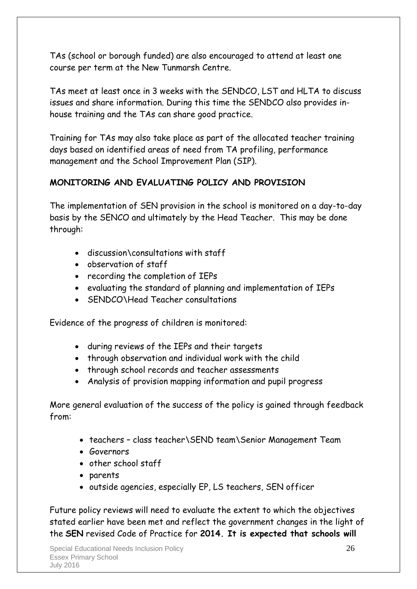TAs (school or borough funded) are also encouraged to attend at least one course per term at the New Tunmarsh Centre.

TAs meet at least once in 3 weeks with the SENDCO, LST and HLTA to discuss issues and share information. During this time the SENDCO also provides inhouse training and the TAs can share good practice.

Training for TAs may also take place as part of the allocated teacher training days based on identified areas of need from TA profiling, performance management and the School Improvement Plan (SIP).

#### **MONITORING AND EVALUATING POLICY AND PROVISION**

The implementation of SEN provision in the school is monitored on a day-to-day basis by the SENCO and ultimately by the Head Teacher. This may be done through:

- discussion\consultations with staff
- observation of staff
- recording the completion of IEPs
- evaluating the standard of planning and implementation of IEPs
- SENDCO\Head Teacher consultations

Evidence of the progress of children is monitored:

- during reviews of the IEPs and their targets
- through observation and individual work with the child
- through school records and teacher assessments
- Analysis of provision mapping information and pupil progress

More general evaluation of the success of the policy is gained through feedback from:

- teachers class teacher\SEND team\Senior Management Team
- Governors
- other school staff
- parents
- outside agencies, especially EP, LS teachers, SEN officer

Future policy reviews will need to evaluate the extent to which the objectives stated earlier have been met and reflect the government changes in the light of the **SEN** revised Code of Practice for **2014. It is expected that schools will**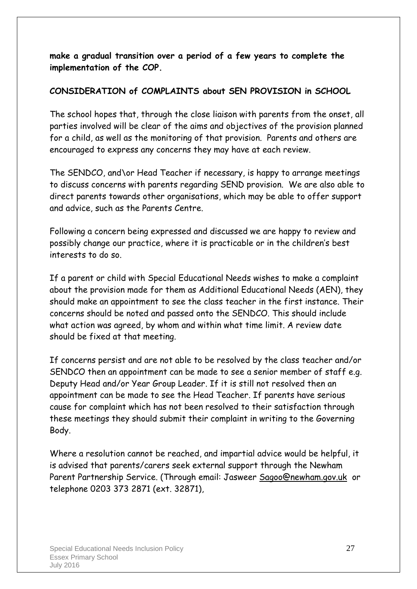**make a gradual transition over a period of a few years to complete the implementation of the COP.**

#### **CONSIDERATION of COMPLAINTS about SEN PROVISION in SCHOOL**

The school hopes that, through the close liaison with parents from the onset, all parties involved will be clear of the aims and objectives of the provision planned for a child, as well as the monitoring of that provision. Parents and others are encouraged to express any concerns they may have at each review.

The SENDCO, and\or Head Teacher if necessary, is happy to arrange meetings to discuss concerns with parents regarding SEND provision. We are also able to direct parents towards other organisations, which may be able to offer support and advice, such as the Parents Centre.

Following a concern being expressed and discussed we are happy to review and possibly change our practice, where it is practicable or in the children's best interests to do so.

If a parent or child with Special Educational Needs wishes to make a complaint about the provision made for them as Additional Educational Needs (AEN), they should make an appointment to see the class teacher in the first instance. Their concerns should be noted and passed onto the SENDCO. This should include what action was agreed, by whom and within what time limit. A review date should be fixed at that meeting.

If concerns persist and are not able to be resolved by the class teacher and/or SENDCO then an appointment can be made to see a senior member of staff e.g. Deputy Head and/or Year Group Leader. If it is still not resolved then an appointment can be made to see the Head Teacher. If parents have serious cause for complaint which has not been resolved to their satisfaction through these meetings they should submit their complaint in writing to the Governing Body.

Where a resolution cannot be reached, and impartial advice would be helpful, it is advised that parents/carers seek external support through the Newham Parent Partnership Service. (Through email: Jasweer [Sagoo@newham.gov.uk](mailto:Sagoo@newham.gov.uk) or telephone 0203 373 2871 (ext. 32871),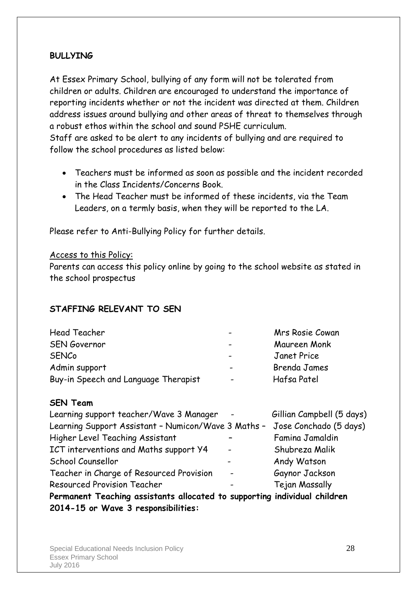#### **BULLYING**

At Essex Primary School, bullying of any form will not be tolerated from children or adults. Children are encouraged to understand the importance of reporting incidents whether or not the incident was directed at them. Children address issues around bullying and other areas of threat to themselves through a robust ethos within the school and sound PSHE curriculum.

Staff are asked to be alert to any incidents of bullying and are required to follow the school procedures as listed below:

- Teachers must be informed as soon as possible and the incident recorded in the Class Incidents/Concerns Book.
- The Head Teacher must be informed of these incidents, via the Team Leaders, on a termly basis, when they will be reported to the LA.

Please refer to Anti-Bullying Policy for further details.

#### Access to this Policy:

Parents can access this policy online by going to the school website as stated in the school prospectus

#### **STAFFING RELEVANT TO SEN**

| Head Teacher                         | $\overline{\phantom{0}}$ | Mrs Rosie Cowan |
|--------------------------------------|--------------------------|-----------------|
| <b>SEN Governor</b>                  | $\overline{\phantom{0}}$ | Maureen Monk    |
| <b>SENCo</b>                         | $\overline{\phantom{0}}$ | Janet Price     |
| Admin support                        | $\overline{\phantom{0}}$ | Brenda James    |
| Buy-in Speech and Language Therapist | $\overline{\phantom{a}}$ | Hafsa Patel     |

#### **SEN Team**

|                                                     | Permanent Teaching assistants allocated to supporting individual children |
|-----------------------------------------------------|---------------------------------------------------------------------------|
|                                                     | Tejan Massally                                                            |
| $\overline{\phantom{a}}$                            | Gaynor Jackson                                                            |
|                                                     | Andy Watson                                                               |
| $\blacksquare$                                      | Shubreza Malik                                                            |
|                                                     | Famina Jamaldin                                                           |
| Learning Support Assistant - Numicon/Wave 3 Maths - | Jose Conchado (5 days)                                                    |
| $\sim$                                              | Gillian Campbell (5 days)                                                 |
|                                                     |                                                                           |

**2014-15 or Wave 3 responsibilities:**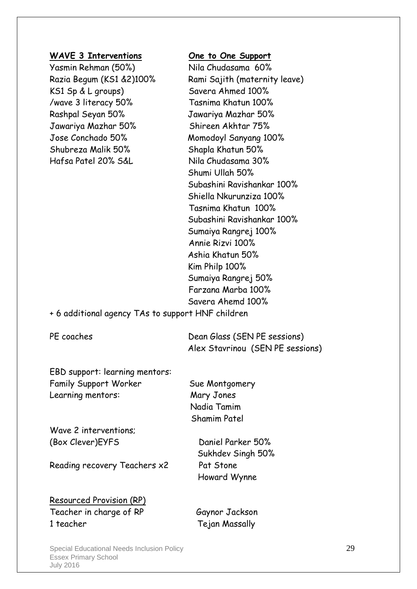#### **WAVE 3 Interventions One to One Support**

Yasmin Rehman (50%) Nila Chudasama 60% KS1 Sp & L groups) Savera Ahmed 100% /wave 3 literacy 50% Tasnima Khatun 100% Rashpal Seyan 50% Jawariya Mazhar 50% Jawariya Mazhar 50% Shireen Akhtar 75% Jose Conchado 50% Momodoyl Sanyang 100% Shubreza Malik 50% Shapla Khatun 50% Hafsa Patel 20% S&L Nila Chudasama 30%

Razia Begum (KS1 &2)100% Rami Sajith (maternity leave) Shumi Ullah 50% Subashini Ravishankar 100% Shiella Nkurunziza 100% Tasnima Khatun 100% Subashini Ravishankar 100% Sumaiya Rangrej 100% Annie Rizvi 100% Ashia Khatun 50% Kim Philp 100% Sumaiya Rangrej 50% Farzana Marba 100% Savera Ahemd 100%

+ 6 additional agency TAs to support HNF children

PE coaches Dean Glass (SEN PE sessions) Alex Stavrinou (SEN PE sessions)

EBD support: learning mentors: Family Support Worker Sue Montgomery Learning mentors: Mary Jones

Wave 2 interventions; (Box Clever)EYFS Daniel Parker 50%

Reading recovery Teachers x2 Pat Stone

 Sukhdev Singh 50% Howard Wynne

 Nadia Tamim Shamim Patel

Resourced Provision (RP) Teacher in charge of RP Gaynor Jackson 1 teacher Tejan Massally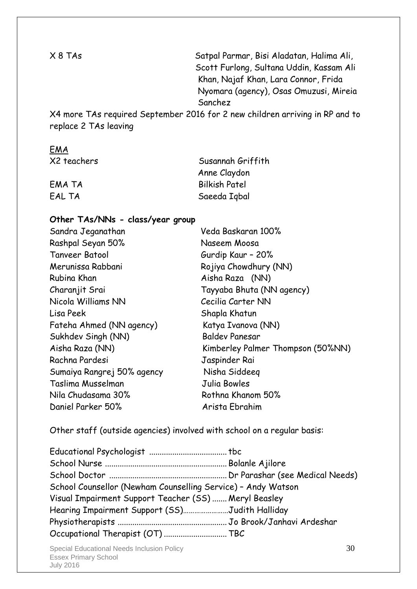X 8 TAs Satpal Parmar, Bisi Aladatan, Halima Ali, Scott Furlong, Sultana Uddin, Kassam Ali Khan, Najaf Khan, Lara Connor, Frida Nyomara (agency), Osas Omuzusi, Mireia Sanchez

X4 more TAs required September 2016 for 2 new children arriving in RP and to replace 2 TAs leaving

#### EMA

X2 teachers Susannah Griffith Anne Claydon EMA TA Bilkish Patel EAL TA Saeeda Iqbal

#### **Other TAs/NNs - class/year group**

| Sandra Jeganathan          | Veda Baskaran 100%                |
|----------------------------|-----------------------------------|
| Rashpal Seyan 50%          | Naseem Moosa                      |
| Tanveer Batool             | Gurdip Kaur - 20%                 |
| Merunissa Rabbani          | Rojiya Chowdhury (NN)             |
| Rubina Khan                | Aisha Raza (NN)                   |
| Charanjit Srai             | Tayyaba Bhuta (NN agency)         |
| Nicola Williams NN         | Cecilia Carter NN                 |
| Lisa Peek                  | Shapla Khatun                     |
| Fateha Ahmed (NN agency)   | Katya Ivanova (NN)                |
| Sukhdev Singh (NN)         | <b>Baldev Panesar</b>             |
| Aisha Raza (NN)            | Kimberley Palmer Thompson (50%NN) |
| Rachna Pardesi             | Jaspinder Rai                     |
| Sumaiya Rangrej 50% agency | Nisha Siddeeg                     |
| Taslima Musselman          | Julia Bowles                      |
| Nila Chudasama 30%         | Rothna Khanom 50%                 |
| Daniel Parker 50%          | Arista Ebrahim                    |

Other staff (outside agencies) involved with school on a regular basis:

| School Counsellor (Newham Counselling Service) - Andy Watson |  |
|--------------------------------------------------------------|--|
| Visual Impairment Support Teacher (SS)  Meryl Beasley        |  |
| Hearing Impairment Support (SS)Judith Halliday               |  |
|                                                              |  |
| Occupational Therapist (OT)  TBC                             |  |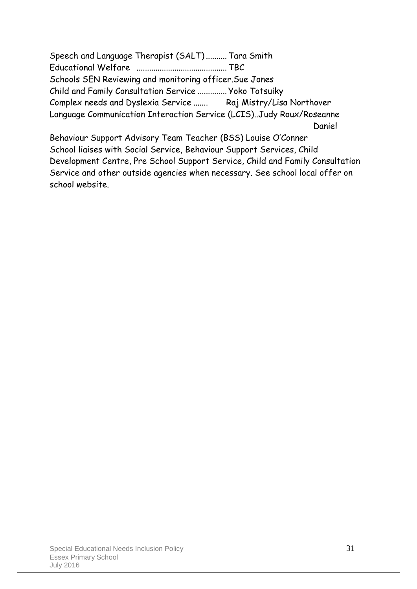Speech and Language Therapist (SALT).......... Tara Smith Educational Welfare ........................................... TBC Schools SEN Reviewing and monitoring officer.Sue Jones Child and Family Consultation Service .............. Yoko Totsuiky Complex needs and Dyslexia Service ....... Raj Mistry/Lisa Northover Language Communication Interaction Service (LCIS)..Judy Roux/Roseanne Daniel Behaviour Support Advisory Team Teacher (BSS) Louise O'Conner

School liaises with Social Service, Behaviour Support Services, Child Development Centre, Pre School Support Service, Child and Family Consultation Service and other outside agencies when necessary. See school local offer on school website.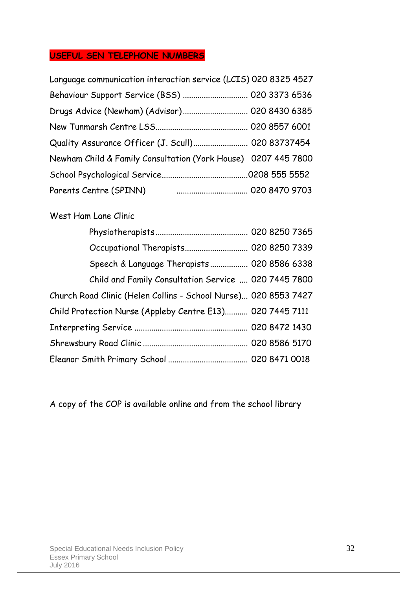#### **USEFUL SEN TELEPHONE NUMBERS**

| Language communication interaction service (LCIS) 020 8325 4527 |  |  |
|-----------------------------------------------------------------|--|--|
| Behaviour Support Service (BSS)  020 3373 6536                  |  |  |
| Drugs Advice (Newham) (Advisor) 020 8430 6385                   |  |  |
|                                                                 |  |  |
| Quality Assurance Officer (J. Scull) 020 83737454               |  |  |
| Newham Child & Family Consultation (York House) 0207 445 7800   |  |  |
|                                                                 |  |  |
|                                                                 |  |  |

#### West Ham Lane Clinic

| Occupational Therapists 020 8250 7339                           |  |  |
|-----------------------------------------------------------------|--|--|
| Speech & Language Therapists 020 8586 6338                      |  |  |
| Child and Family Consultation Service  020 7445 7800            |  |  |
| Church Road Clinic (Helen Collins - School Nurse) 020 8553 7427 |  |  |
| Child Protection Nurse (Appleby Centre E13) 020 7445 7111       |  |  |
|                                                                 |  |  |
|                                                                 |  |  |
|                                                                 |  |  |

A copy of the COP is available online and from the school library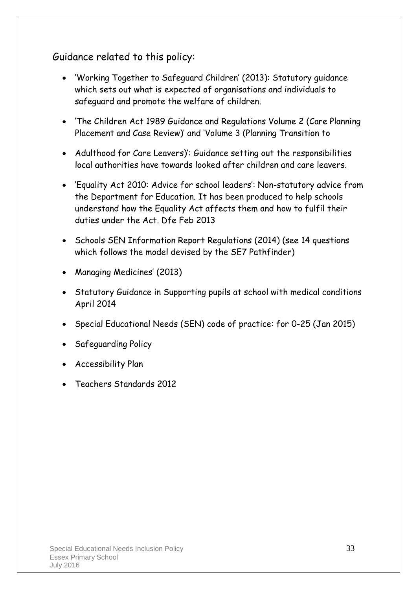Guidance related to this policy:

- 'Working Together to Safeguard Children' (2013): Statutory guidance which sets out what is expected of organisations and individuals to safeguard and promote the welfare of children.
- 'The Children Act 1989 Guidance and Regulations Volume 2 (Care Planning Placement and Case Review)' and 'Volume 3 (Planning Transition to
- Adulthood for Care Leavers)': Guidance setting out the responsibilities local authorities have towards looked after children and care leavers.
- 'Equality Act 2010: Advice for school leaders': Non-statutory advice from the Department for Education. It has been produced to help schools understand how the Equality Act affects them and how to fulfil their duties under the Act. Dfe Feb 2013
- Schools SEN Information Report Regulations (2014) (see 14 questions which follows the model devised by the SE7 Pathfinder)
- Managing Medicines' (2013)
- Statutory Guidance in Supporting pupils at school with medical conditions April 2014
- Special Educational Needs (SEN) code of practice: for 0-25 (Jan 2015)
- Safeguarding Policy
- Accessibility Plan
- Teachers Standards 2012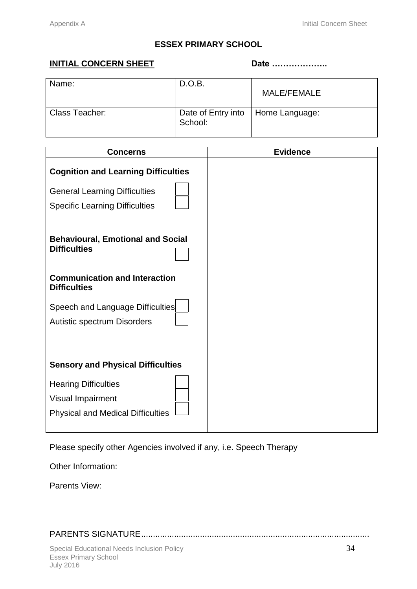#### **ESSEX PRIMARY SCHOOL**

#### **INITIAL CONCERN SHEET** Date …………………

| Name:          | D.O.B.                        | MALE/FEMALE    |
|----------------|-------------------------------|----------------|
| Class Teacher: | Date of Entry into<br>School: | Home Language: |

| <b>Concerns</b>                                                                                                                          | <b>Evidence</b> |
|------------------------------------------------------------------------------------------------------------------------------------------|-----------------|
| <b>Cognition and Learning Difficulties</b><br><b>General Learning Difficulties</b><br><b>Specific Learning Difficulties</b>              |                 |
| <b>Behavioural, Emotional and Social</b><br><b>Difficulties</b>                                                                          |                 |
| <b>Communication and Interaction</b><br><b>Difficulties</b>                                                                              |                 |
| Speech and Language Difficulties<br>Autistic spectrum Disorders                                                                          |                 |
| <b>Sensory and Physical Difficulties</b><br><b>Hearing Difficulties</b><br>Visual Impairment<br><b>Physical and Medical Difficulties</b> |                 |

Please specify other Agencies involved if any, i.e. Speech Therapy

Other Information:

Parents View:

PARENTS SIGNATURE.................................................................................................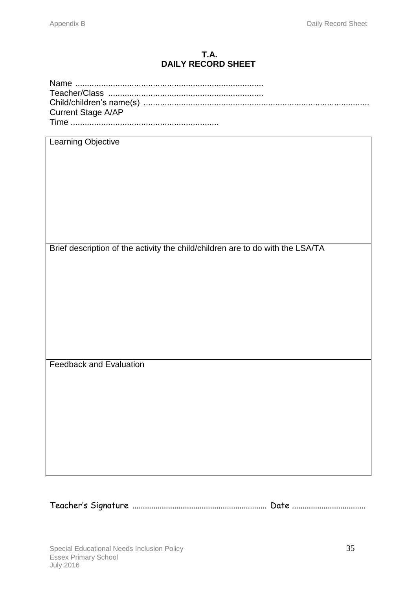#### **T.A. DAILY RECORD SHEET**

| <b>Current Stage A/AP</b> |  |
|---------------------------|--|
|                           |  |

| <b>Learning Objective</b>                                                      |
|--------------------------------------------------------------------------------|
|                                                                                |
|                                                                                |
|                                                                                |
|                                                                                |
|                                                                                |
|                                                                                |
|                                                                                |
|                                                                                |
|                                                                                |
|                                                                                |
|                                                                                |
|                                                                                |
| Brief description of the activity the child/children are to do with the LSA/TA |
|                                                                                |
|                                                                                |
|                                                                                |
|                                                                                |
|                                                                                |
|                                                                                |
|                                                                                |
|                                                                                |
|                                                                                |
|                                                                                |
|                                                                                |
|                                                                                |
|                                                                                |
|                                                                                |
| <b>Feedback and Evaluation</b>                                                 |
|                                                                                |
|                                                                                |
|                                                                                |
|                                                                                |
|                                                                                |
|                                                                                |
|                                                                                |
|                                                                                |
|                                                                                |
|                                                                                |
|                                                                                |
|                                                                                |

Teacher's Signature ................................................................ Date ...................................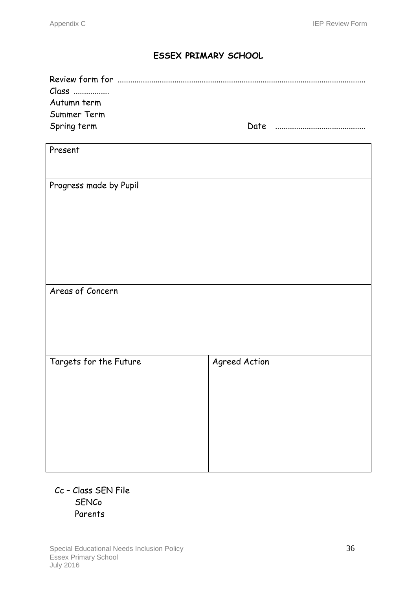#### **ESSEX PRIMARY SCHOOL**

| Class<br>Autumn term<br>Summer Term<br>Spring term |               |  |
|----------------------------------------------------|---------------|--|
| Present                                            |               |  |
| Progress made by Pupil                             |               |  |
| Areas of Concern                                   |               |  |
| Targets for the Future                             | Agreed Action |  |

#### Cc – Class SEN File **SENCo** Parents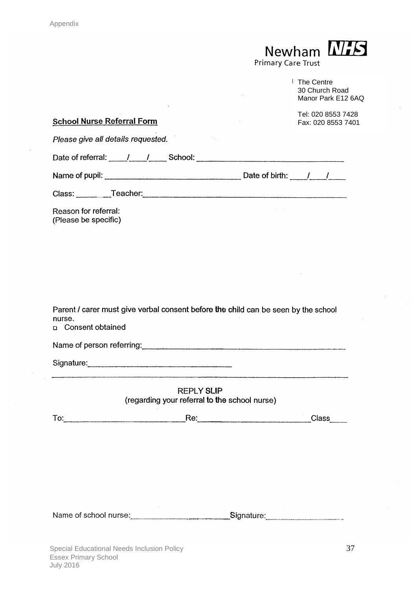$\bar{\alpha}$ 

 $\hat{\mathcal{A}}$ 

Newham MIS

|                                                                                                                    | <sup>1</sup> The Centre<br>30 Church Road<br>Manor Park E12 6AQ |
|--------------------------------------------------------------------------------------------------------------------|-----------------------------------------------------------------|
| <b>School Nurse Referral Form</b>                                                                                  | Tel: 020 8553 7428<br>Fax: 020 8553 7401                        |
| Please give all details requested.<br>不好                                                                           |                                                                 |
|                                                                                                                    |                                                                 |
|                                                                                                                    |                                                                 |
|                                                                                                                    |                                                                 |
| Reason for referral:<br>(Please be specific)                                                                       |                                                                 |
|                                                                                                                    |                                                                 |
|                                                                                                                    |                                                                 |
|                                                                                                                    |                                                                 |
|                                                                                                                    |                                                                 |
| Parent / carer must give verbal consent before the child can be seen by the school<br>nurse.<br>n Consent obtained |                                                                 |
| Name of person referring:<br>Name of person referring:                                                             |                                                                 |
| Signature: Signature:                                                                                              |                                                                 |
| <b>REPLY SLIP</b><br>(regarding your referral to the school nurse)                                                 |                                                                 |
|                                                                                                                    | Class_____                                                      |
|                                                                                                                    |                                                                 |
|                                                                                                                    |                                                                 |
|                                                                                                                    |                                                                 |
|                                                                                                                    |                                                                 |
|                                                                                                                    |                                                                 |
| Name of school nurse: _________________________________Signature: ______________                                   |                                                                 |
|                                                                                                                    |                                                                 |

 $\bar{\beta}$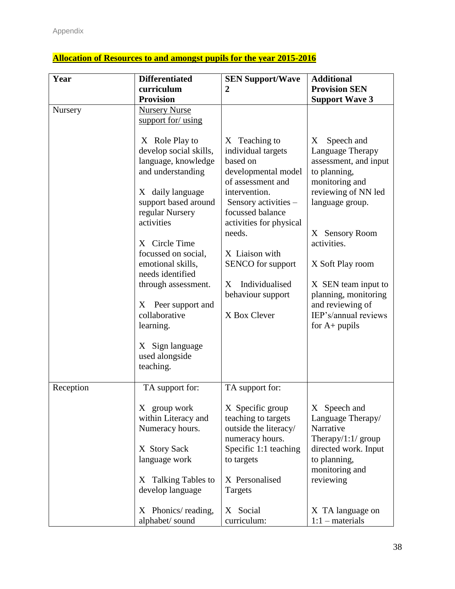| Year<br><b>Differentiated</b>           |                                                                                                                                                                                                                                                                                                                                                                                 | <b>SEN Support/Wave</b>                                                                                                                                                                                                                                                                          | <b>Additional</b>                                                                                                                                                                                                                                                                                           |  |
|-----------------------------------------|---------------------------------------------------------------------------------------------------------------------------------------------------------------------------------------------------------------------------------------------------------------------------------------------------------------------------------------------------------------------------------|--------------------------------------------------------------------------------------------------------------------------------------------------------------------------------------------------------------------------------------------------------------------------------------------------|-------------------------------------------------------------------------------------------------------------------------------------------------------------------------------------------------------------------------------------------------------------------------------------------------------------|--|
|                                         | curriculum                                                                                                                                                                                                                                                                                                                                                                      | $\overline{2}$                                                                                                                                                                                                                                                                                   | <b>Provision SEN</b>                                                                                                                                                                                                                                                                                        |  |
|                                         | <b>Provision</b>                                                                                                                                                                                                                                                                                                                                                                |                                                                                                                                                                                                                                                                                                  | <b>Support Wave 3</b>                                                                                                                                                                                                                                                                                       |  |
| Nursery                                 | <b>Nursery Nurse</b><br>support for/ using                                                                                                                                                                                                                                                                                                                                      |                                                                                                                                                                                                                                                                                                  |                                                                                                                                                                                                                                                                                                             |  |
|                                         | X Role Play to<br>develop social skills,<br>language, knowledge<br>and understanding<br>X daily language<br>support based around<br>regular Nursery<br>activities<br>X Circle Time<br>focussed on social,<br>emotional skills,<br>needs identified<br>through assessment.<br>X Peer support and<br>collaborative<br>learning.<br>X Sign language<br>used alongside<br>teaching. | X Teaching to<br>individual targets<br>based on<br>developmental model<br>of assessment and<br>intervention.<br>Sensory activities -<br>focussed balance<br>activities for physical<br>needs.<br>X Liaison with<br>SENCO for support<br>Individualised<br>X<br>behaviour support<br>X Box Clever | Speech and<br>X<br>Language Therapy<br>assessment, and input<br>to planning,<br>monitoring and<br>reviewing of NN led<br>language group.<br>X Sensory Room<br>activities.<br>X Soft Play room<br>X SEN team input to<br>planning, monitoring<br>and reviewing of<br>IEP's/annual reviews<br>for $A+$ pupils |  |
| Reception                               | TA support for:                                                                                                                                                                                                                                                                                                                                                                 | TA support for:                                                                                                                                                                                                                                                                                  |                                                                                                                                                                                                                                                                                                             |  |
|                                         | X group work<br>within Literacy and<br>Numeracy hours.<br>X Story Sack<br>language work                                                                                                                                                                                                                                                                                         | X Specific group<br>teaching to targets<br>outside the literacy/<br>numeracy hours.<br>Specific 1:1 teaching<br>to targets                                                                                                                                                                       | X Speech and<br>Language Therapy/<br>Narrative<br>Therapy/1:1/ $group$<br>directed work. Input<br>to planning,<br>monitoring and                                                                                                                                                                            |  |
| X Talking Tables to<br>develop language |                                                                                                                                                                                                                                                                                                                                                                                 | X Personalised<br>Targets                                                                                                                                                                                                                                                                        | reviewing                                                                                                                                                                                                                                                                                                   |  |
|                                         | Phonics/reading,<br>X<br>alphabet/ sound                                                                                                                                                                                                                                                                                                                                        | X Social<br>curriculum:                                                                                                                                                                                                                                                                          | X TA language on<br>$1:1$ – materials                                                                                                                                                                                                                                                                       |  |

#### **Allocation of Resources to and amongst pupils for the year 2015-2016**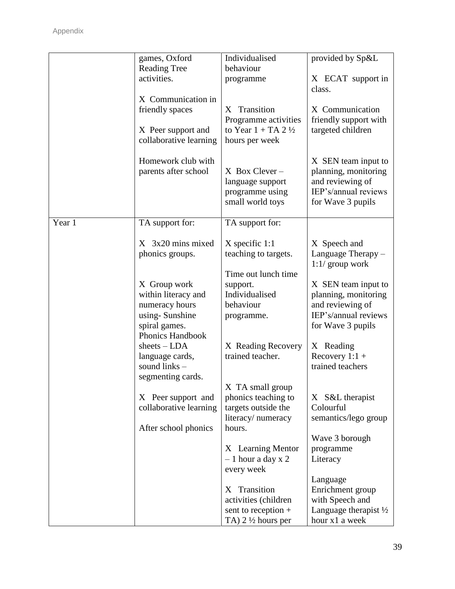|        | games, Oxford                                                                                                | Individualised                                                                                 | provided by Sp&L                                                                                             |
|--------|--------------------------------------------------------------------------------------------------------------|------------------------------------------------------------------------------------------------|--------------------------------------------------------------------------------------------------------------|
|        | <b>Reading Tree</b><br>activities.                                                                           | behaviour<br>programme                                                                         | X ECAT support in<br>class.                                                                                  |
|        | X Communication in<br>friendly spaces<br>X Peer support and<br>collaborative learning                        | X Transition<br>Programme activities<br>to Year $1 + TA$ 2 $\frac{1}{2}$<br>hours per week     | X Communication<br>friendly support with<br>targeted children                                                |
|        | Homework club with<br>parents after school                                                                   | $X$ Box Clever –<br>language support<br>programme using<br>small world toys                    | X SEN team input to<br>planning, monitoring<br>and reviewing of<br>IEP's/annual reviews<br>for Wave 3 pupils |
| Year 1 | TA support for:                                                                                              | TA support for:                                                                                |                                                                                                              |
|        | X 3x20 mins mixed<br>phonics groups.                                                                         | $X$ specific 1:1<br>teaching to targets.                                                       | X Speech and<br>Language Therapy -<br>$1:1/$ group work                                                      |
|        | X Group work<br>within literacy and<br>numeracy hours<br>using-Sunshine<br>spiral games.<br>Phonics Handbook | Time out lunch time<br>support.<br>Individualised<br>behaviour<br>programme.                   | X SEN team input to<br>planning, monitoring<br>and reviewing of<br>IEP's/annual reviews<br>for Wave 3 pupils |
|        | $sheets - LDA$<br>language cards,<br>sound links -<br>segmenting cards.                                      | X Reading Recovery<br>trained teacher.                                                         | X Reading<br>Recovery $1:1 +$<br>trained teachers                                                            |
|        | X Peer support and<br>collaborative learning<br>After school phonics                                         | X TA small group<br>phonics teaching to<br>targets outside the<br>literacy/numeracy<br>hours.  | X S&L therapist<br>Colourful<br>semantics/lego group                                                         |
|        |                                                                                                              | X Learning Mentor<br>$-1$ hour a day x 2<br>every week                                         | Wave 3 borough<br>programme<br>Literacy                                                                      |
|        |                                                                                                              | Transition<br>X<br>activities (children<br>sent to reception +<br>TA) $2\frac{1}{2}$ hours per | Language<br>Enrichment group<br>with Speech and<br>Language therapist $\frac{1}{2}$<br>hour x1 a week        |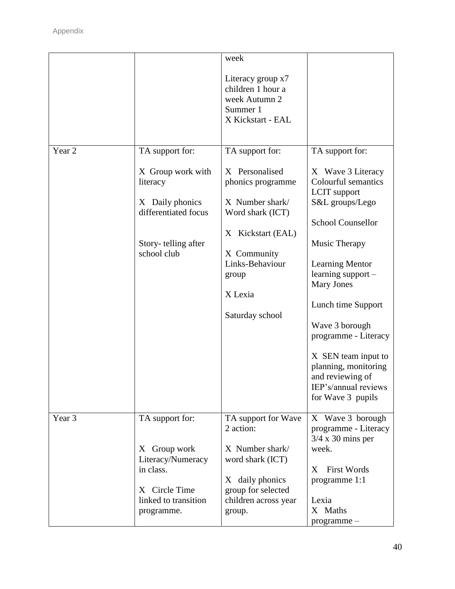|                   |                                                                                                                | week                                                                                                                                                                     |                                                                                                                                                                                                                                                                                                                                                                                      |
|-------------------|----------------------------------------------------------------------------------------------------------------|--------------------------------------------------------------------------------------------------------------------------------------------------------------------------|--------------------------------------------------------------------------------------------------------------------------------------------------------------------------------------------------------------------------------------------------------------------------------------------------------------------------------------------------------------------------------------|
|                   |                                                                                                                | Literacy group x7<br>children 1 hour a<br>week Autumn 2<br>Summer 1<br>X Kickstart - EAL                                                                                 |                                                                                                                                                                                                                                                                                                                                                                                      |
| Year <sub>2</sub> | TA support for:                                                                                                | TA support for:                                                                                                                                                          | TA support for:                                                                                                                                                                                                                                                                                                                                                                      |
|                   | X Group work with<br>literacy<br>X Daily phonics<br>differentiated focus<br>Story-telling after<br>school club | X Personalised<br>phonics programme<br>X Number shark/<br>Word shark (ICT)<br>X Kickstart (EAL)<br>X Community<br>Links-Behaviour<br>group<br>X Lexia<br>Saturday school | X Wave 3 Literacy<br>Colourful semantics<br><b>LCIT</b> support<br>S&L groups/Lego<br><b>School Counsellor</b><br>Music Therapy<br><b>Learning Mentor</b><br>learning support -<br><b>Mary Jones</b><br>Lunch time Support<br>Wave 3 borough<br>programme - Literacy<br>X SEN team input to<br>planning, monitoring<br>and reviewing of<br>IEP's/annual reviews<br>for Wave 3 pupils |
| Year 3            | TA support for:<br>Group work<br>X                                                                             | TA support for Wave<br>2 action:<br>X Number shark/                                                                                                                      | X Wave 3 borough<br>programme - Literacy<br>$3/4 \times 30$ mins per<br>week.                                                                                                                                                                                                                                                                                                        |
|                   | Literacy/Numeracy<br>in class.<br>X Circle Time<br>linked to transition<br>programme.                          | word shark (ICT)<br>X daily phonics<br>group for selected<br>children across year<br>group.                                                                              | <b>First Words</b><br>Χ<br>programme 1:1<br>Lexia<br>X Maths<br>programme-                                                                                                                                                                                                                                                                                                           |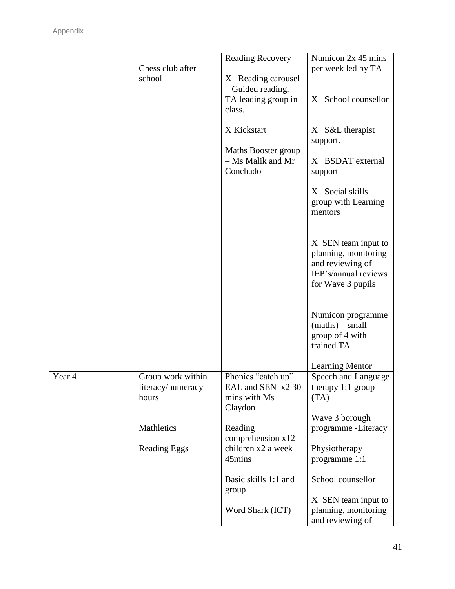|        | Chess club after                       | <b>Reading Recovery</b>                  | Numicon 2x 45 mins<br>per week led by TA |
|--------|----------------------------------------|------------------------------------------|------------------------------------------|
|        | school                                 | X Reading carousel                       |                                          |
|        |                                        | - Guided reading,                        |                                          |
|        |                                        | TA leading group in                      | X School counsellor                      |
|        |                                        | class.                                   |                                          |
|        |                                        | X Kickstart                              | X S&L therapist                          |
|        |                                        |                                          | support.                                 |
|        |                                        | Maths Booster group<br>- Ms Malik and Mr | X BSDAT external                         |
|        |                                        | Conchado                                 | support                                  |
|        |                                        |                                          |                                          |
|        |                                        |                                          | X Social skills                          |
|        |                                        |                                          | group with Learning<br>mentors           |
|        |                                        |                                          |                                          |
|        |                                        |                                          | X SEN team input to                      |
|        |                                        |                                          | planning, monitoring                     |
|        |                                        |                                          | and reviewing of                         |
|        |                                        |                                          | IEP's/annual reviews                     |
|        |                                        |                                          | for Wave 3 pupils                        |
|        |                                        |                                          |                                          |
|        |                                        |                                          | Numicon programme                        |
|        |                                        |                                          | $(maths) - small$<br>group of 4 with     |
|        |                                        |                                          | trained TA                               |
|        |                                        |                                          |                                          |
|        |                                        |                                          | <b>Learning Mentor</b>                   |
| Year 4 | Group work within<br>literacy/numeracy | Phonics "catch up"<br>EAL and SEN x2 30  | Speech and Language<br>therapy 1:1 group |
|        | hours                                  | mins with Ms                             | (TA)                                     |
|        |                                        | Claydon                                  |                                          |
|        |                                        |                                          | Wave 3 borough                           |
|        | Mathletics                             | Reading<br>comprehension $x12$           | programme -Literacy                      |
|        | <b>Reading Eggs</b>                    | children x2 a week                       | Physiotherapy                            |
|        |                                        | 45mins                                   | programme 1:1                            |
|        |                                        |                                          |                                          |
|        |                                        | Basic skills 1:1 and<br>group            | School counsellor                        |
|        |                                        |                                          | X SEN team input to                      |
|        |                                        | Word Shark (ICT)                         | planning, monitoring                     |
|        |                                        |                                          | and reviewing of                         |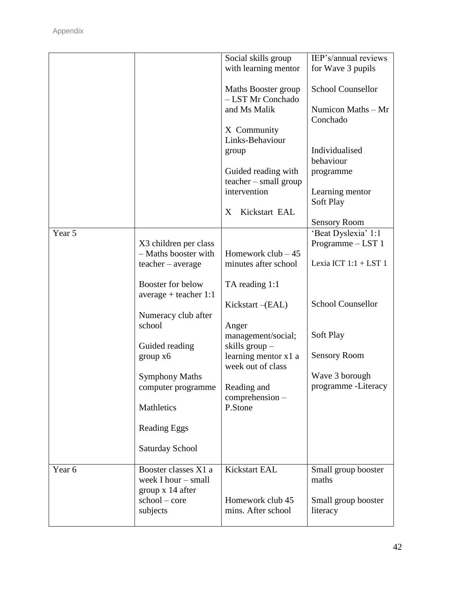| Year <sub>6</sub> | Booster classes X1 a<br>week I hour - small<br>group x 14 after<br>$school - core$<br>subjects                                                                                                                                                                                                    | Kickstart EAL<br>Homework club 45<br>mins. After school                                                                                                                                                                                                                                                                                                                                               | Small group booster<br>maths<br>Small group booster<br>literacy                                                                                                                                                                                                                                                    |
|-------------------|---------------------------------------------------------------------------------------------------------------------------------------------------------------------------------------------------------------------------------------------------------------------------------------------------|-------------------------------------------------------------------------------------------------------------------------------------------------------------------------------------------------------------------------------------------------------------------------------------------------------------------------------------------------------------------------------------------------------|--------------------------------------------------------------------------------------------------------------------------------------------------------------------------------------------------------------------------------------------------------------------------------------------------------------------|
| Year 5            | X3 children per class<br>- Maths booster with<br>$teacher - average$<br>Booster for below<br>$average + teacher 1:1$<br>Numeracy club after<br>school<br>Guided reading<br>group x6<br><b>Symphony Maths</b><br>computer programme<br>Mathletics<br><b>Reading Eggs</b><br><b>Saturday School</b> | - LST Mr Conchado<br>and Ms Malik<br>X Community<br>Links-Behaviour<br>group<br>Guided reading with<br>teacher - small group<br>intervention<br>Kickstart EAL<br>X<br>Homework club $-45$<br>minutes after school<br>TA reading 1:1<br>$Kickstart - (EAL)$<br>Anger<br>management/social;<br>skills group-<br>learning mentor x1 a<br>week out of class<br>Reading and<br>$comprehension-$<br>P.Stone | Numicon Maths – Mr<br>Conchado<br>Individualised<br>behaviour<br>programme<br>Learning mentor<br>Soft Play<br><b>Sensory Room</b><br>'Beat Dyslexia' 1:1<br>Programme - LST 1<br>Lexia ICT $1:1 + LST$ 1<br><b>School Counsellor</b><br>Soft Play<br><b>Sensory Room</b><br>Wave 3 borough<br>programme - Literacy |
|                   |                                                                                                                                                                                                                                                                                                   | Social skills group<br>with learning mentor<br>Maths Booster group                                                                                                                                                                                                                                                                                                                                    | IEP's/annual reviews<br>for Wave 3 pupils<br><b>School Counsellor</b>                                                                                                                                                                                                                                              |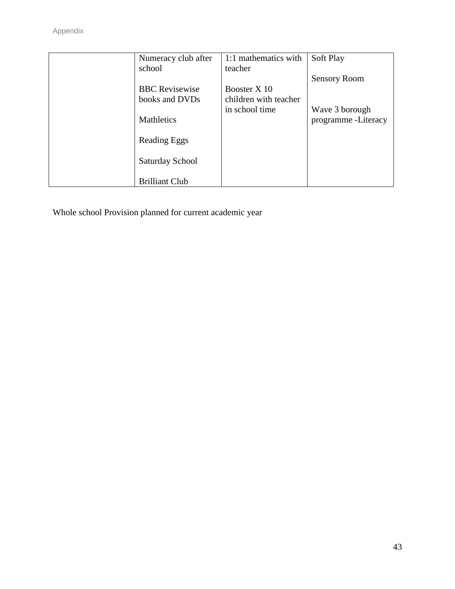| Numeracy club after   | 1:1 mathematics with  | Soft Play            |
|-----------------------|-----------------------|----------------------|
| school                | teacher               |                      |
|                       |                       | <b>Sensory Room</b>  |
| <b>BBC</b> Revisewise | Booster X 10          |                      |
| books and DVDs        | children with teacher |                      |
|                       | in school time        | Wave 3 borough       |
| <b>Mathletics</b>     |                       | programme - Literacy |
|                       |                       |                      |
| Reading Eggs          |                       |                      |
|                       |                       |                      |
| Saturday School       |                       |                      |
|                       |                       |                      |
| <b>Brilliant Club</b> |                       |                      |

Whole school Provision planned for current academic year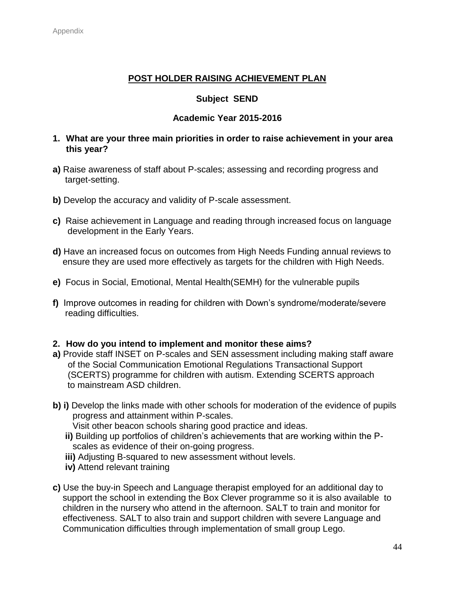#### **POST HOLDER RAISING ACHIEVEMENT PLAN**

#### **Subject SEND**

#### **Academic Year 2015-2016**

#### **1. What are your three main priorities in order to raise achievement in your area this year?**

- **a)** Raise awareness of staff about P-scales; assessing and recording progress and target-setting.
- **b)** Develop the accuracy and validity of P-scale assessment.
- **c)** Raise achievement in Language and reading through increased focus on language development in the Early Years.
- **d)** Have an increased focus on outcomes from High Needs Funding annual reviews to ensure they are used more effectively as targets for the children with High Needs.
- **e)** Focus in Social, Emotional, Mental Health(SEMH) for the vulnerable pupils
- **f)** Improve outcomes in reading for children with Down's syndrome/moderate/severe reading difficulties.

#### **2. How do you intend to implement and monitor these aims?**

- **a)** Provide staff INSET on P-scales and SEN assessment including making staff aware of the Social Communication Emotional Regulations Transactional Support (SCERTS) programme for children with autism. Extending SCERTS approach to mainstream ASD children.
- **b) i)** Develop the links made with other schools for moderation of the evidence of pupils progress and attainment within P-scales.
	- Visit other beacon schools sharing good practice and ideas.
	- **ii)** Building up portfolios of children's achievements that are working within the P scales as evidence of their on-going progress.
	- **iii)** Adjusting B-squared to new assessment without levels.
	- **iv)** Attend relevant training
- **c)** Use the buy-in Speech and Language therapist employed for an additional day to support the school in extending the Box Clever programme so it is also available to children in the nursery who attend in the afternoon. SALT to train and monitor for effectiveness. SALT to also train and support children with severe Language and Communication difficulties through implementation of small group Lego.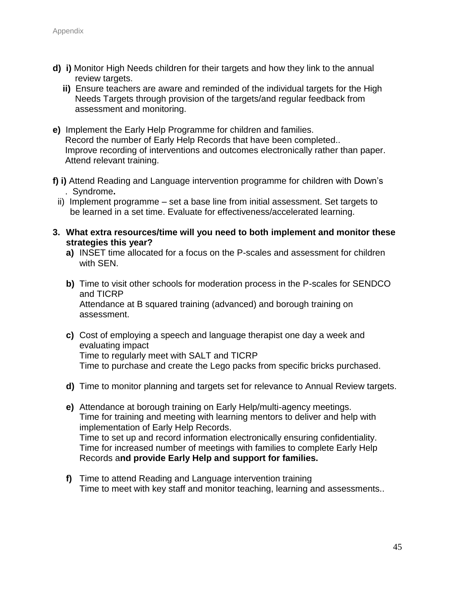- **d) i)** Monitor High Needs children for their targets and how they link to the annual review targets.
	- **ii)** Ensure teachers are aware and reminded of the individual targets for the High Needs Targets through provision of the targets/and regular feedback from assessment and monitoring.
- **e)** Implement the Early Help Programme for children and families. Record the number of Early Help Records that have been completed.. Improve recording of interventions and outcomes electronically rather than paper. Attend relevant training.
- **f) i)** Attend Reading and Language intervention programme for children with Down's . Syndrome**.**
	- ii) Implement programme set a base line from initial assessment. Set targets to be learned in a set time. Evaluate for effectiveness/accelerated learning.
- **3. What extra resources/time will you need to both implement and monitor these strategies this year?**
	- **a)** INSET time allocated for a focus on the P-scales and assessment for children with SEN.
	- **b)** Time to visit other schools for moderation process in the P-scales for SENDCO and TICRP Attendance at B squared training (advanced) and borough training on assessment.
	- **c)** Cost of employing a speech and language therapist one day a week and evaluating impact Time to regularly meet with SALT and TICRP Time to purchase and create the Lego packs from specific bricks purchased.
	- **d)** Time to monitor planning and targets set for relevance to Annual Review targets.
	- **e)** Attendance at borough training on Early Help/multi-agency meetings. Time for training and meeting with learning mentors to deliver and help with implementation of Early Help Records. Time to set up and record information electronically ensuring confidentiality. Time for increased number of meetings with families to complete Early Help Records a**nd provide Early Help and support for families.**
	- **f)** Time to attend Reading and Language intervention training Time to meet with key staff and monitor teaching, learning and assessments..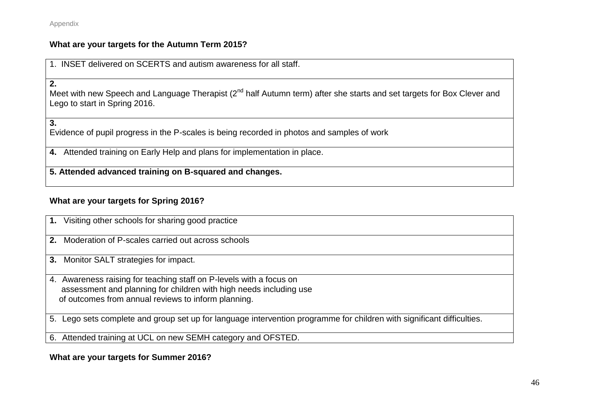Appendix

#### **What are your targets for the Autumn Term 2015?**

1. INSET delivered on SCERTS and autism awareness for all staff.

**2.**

Meet with new Speech and Language Therapist (2<sup>nd</sup> half Autumn term) after she starts and set targets for Box Clever and Lego to start in Spring 2016.

**3.** Evidence of pupil progress in the P-scales is being recorded in photos and samples of work

**4.** Attended training on Early Help and plans for implementation in place.

**5. Attended advanced training on B-squared and changes.**

#### **What are your targets for Spring 2016?**

|    | 1. Visiting other schools for sharing good practice                                                                    |
|----|------------------------------------------------------------------------------------------------------------------------|
| 2. | Moderation of P-scales carried out across schools                                                                      |
|    | 3. Monitor SALT strategies for impact.                                                                                 |
|    | 4. Awareness raising for teaching staff on P-levels with a focus on                                                    |
|    |                                                                                                                        |
|    | assessment and planning for children with high needs including use                                                     |
|    | of outcomes from annual reviews to inform planning.                                                                    |
|    |                                                                                                                        |
|    | 5. Lego sets complete and group set up for language intervention programme for children with significant difficulties. |
|    |                                                                                                                        |
|    | 6. Attended training at UCL on new SEMH category and OFSTED.                                                           |
|    |                                                                                                                        |

**What are your targets for Summer 2016?**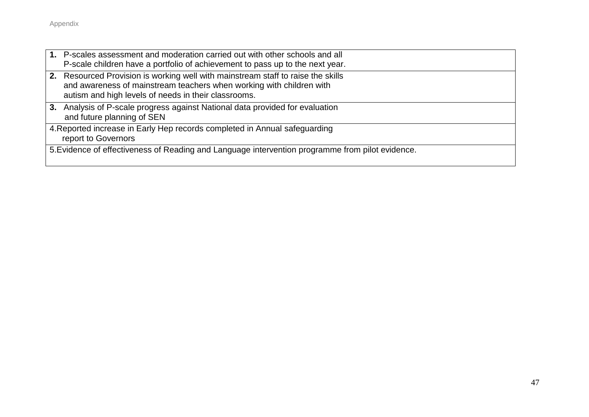|  | 1. P-scales assessment and moderation carried out with other schools and all<br>P-scale children have a portfolio of achievement to pass up to the next year.                                                    |
|--|------------------------------------------------------------------------------------------------------------------------------------------------------------------------------------------------------------------|
|  | 2. Resourced Provision is working well with mainstream staff to raise the skills<br>and awareness of mainstream teachers when working with children with<br>autism and high levels of needs in their classrooms. |
|  | 3. Analysis of P-scale progress against National data provided for evaluation<br>and future planning of SEN                                                                                                      |
|  | 4. Reported increase in Early Hep records completed in Annual safeguarding<br>report to Governors                                                                                                                |
|  | 5. Evidence of effectiveness of Reading and Language intervention programme from pilot evidence.                                                                                                                 |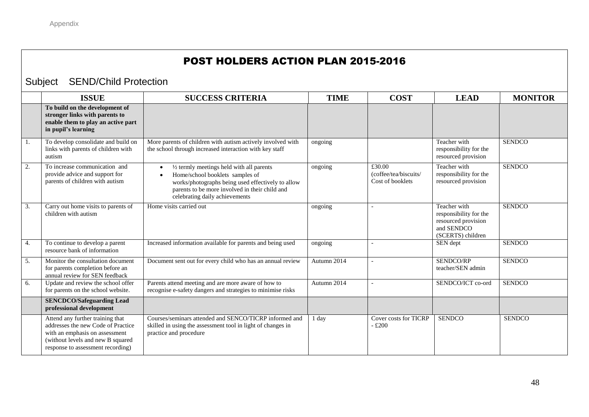#### POST HOLDERS ACTION PLAN 2015-2016

#### Subject SEND/Child Protection

|    | <b>ISSUE</b>                                                                                                                                                                       | <b>SUCCESS CRITERIA</b>                                                                                                                                                                                               | <b>TIME</b> | <b>COST</b>                                         | <b>LEAD</b>                                                                                      | <b>MONITOR</b> |
|----|------------------------------------------------------------------------------------------------------------------------------------------------------------------------------------|-----------------------------------------------------------------------------------------------------------------------------------------------------------------------------------------------------------------------|-------------|-----------------------------------------------------|--------------------------------------------------------------------------------------------------|----------------|
|    | To build on the development of<br>stronger links with parents to<br>enable them to play an active part<br>in pupil's learning                                                      |                                                                                                                                                                                                                       |             |                                                     |                                                                                                  |                |
| 1. | To develop consolidate and build on<br>links with parents of children with<br>autism                                                                                               | More parents of children with autism actively involved with<br>the school through increased interaction with key staff                                                                                                | ongoing     |                                                     | Teacher with<br>responsibility for the<br>resourced provision                                    | <b>SENDCO</b>  |
| 2. | To increase communication and<br>provide advice and support for<br>parents of children with autism                                                                                 | 1/2 termly meetings held with all parents<br>Home/school booklets samples of<br>works/photographs being used effectively to allow<br>parents to be more involved in their child and<br>celebrating daily achievements | ongoing     | £30.00<br>(coffee/tea/biscuits/<br>Cost of booklets | Teacher with<br>responsibility for the<br>resourced provision                                    | <b>SENDCO</b>  |
| 3. | Carry out home visits to parents of<br>children with autism                                                                                                                        | Home visits carried out                                                                                                                                                                                               | ongoing     |                                                     | Teacher with<br>responsibility for the<br>resourced provision<br>and SENDCO<br>(SCERTS) children | <b>SENDCO</b>  |
| 4. | To continue to develop a parent<br>resource bank of information                                                                                                                    | Increased information available for parents and being used                                                                                                                                                            | ongoing     |                                                     | SEN dept                                                                                         | <b>SENDCO</b>  |
| 5. | Monitor the consultation document<br>for parents completion before an<br>annual review for SEN feedback                                                                            | Document sent out for every child who has an annual review                                                                                                                                                            | Autumn 2014 |                                                     | SENDCO/RP<br>teacher/SEN admin                                                                   | <b>SENDCO</b>  |
| 6. | Update and review the school offer<br>for parents on the school website.                                                                                                           | Parents attend meeting and are more aware of how to<br>recognise e-safety dangers and strategies to minimise risks                                                                                                    | Autumn 2014 |                                                     | SENDCO/ICT co-ord                                                                                | <b>SENDCO</b>  |
|    | <b>SENCDCO/Safeguarding Lead</b><br>professional development                                                                                                                       |                                                                                                                                                                                                                       |             |                                                     |                                                                                                  |                |
|    | Attend any further training that<br>addresses the new Code of Practice<br>with an emphasis on assessment<br>(without levels and new B squared<br>response to assessment recording) | Courses/seminars attended and SENCO/TICRP informed and<br>skilled in using the assessment tool in light of changes in<br>practice and procedure                                                                       | 1 day       | Cover costs for TICRP<br>$-£200$                    | <b>SENDCO</b>                                                                                    | <b>SENDCO</b>  |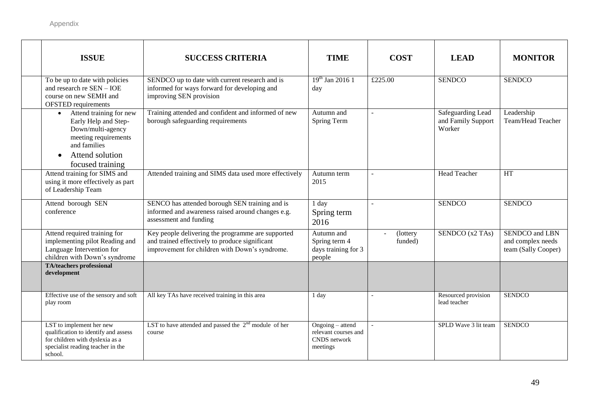| <b>ISSUE</b>                                                                                                                                                                  | <b>SUCCESS CRITERIA</b>                                                                                                                               | <b>TIME</b>                                                          | <b>COST</b>         | <b>LEAD</b>                                       | <b>MONITOR</b>                                             |
|-------------------------------------------------------------------------------------------------------------------------------------------------------------------------------|-------------------------------------------------------------------------------------------------------------------------------------------------------|----------------------------------------------------------------------|---------------------|---------------------------------------------------|------------------------------------------------------------|
| To be up to date with policies<br>and research re SEN - IOE<br>course on new SEMH and<br><b>OFSTED</b> requirements                                                           | SENDCO up to date with current research and is<br>informed for ways forward for developing and<br>improving SEN provision                             | $19^{th}$ Jan 2016 1<br>day                                          | £225.00             | <b>SENDCO</b>                                     | <b>SENDCO</b>                                              |
| Attend training for new<br>$\bullet$<br>Early Help and Step-<br>Down/multi-agency<br>meeting requirements<br>and families<br>Attend solution<br>$\bullet$<br>focused training | Training attended and confident and informed of new<br>borough safeguarding requirements                                                              | Autumn and<br>Spring Term                                            | $\sim$              | Safeguarding Lead<br>and Family Support<br>Worker | Leadership<br>Team/Head Teacher                            |
| Attend training for SIMS and<br>using it more effectively as part<br>of Leadership Team                                                                                       | Attended training and SIMS data used more effectively                                                                                                 | Autumn term<br>2015                                                  |                     | <b>Head Teacher</b>                               | <b>HT</b>                                                  |
| Attend borough SEN<br>conference                                                                                                                                              | SENCO has attended borough SEN training and is<br>informed and awareness raised around changes e.g.<br>assessment and funding                         | 1 day<br>Spring term<br>2016                                         | $\mathbf{r}$        | <b>SENDCO</b>                                     | <b>SENDCO</b>                                              |
| Attend required training for<br>implementing pilot Reading and<br>Language Intervention for<br>children with Down's syndrome                                                  | Key people delivering the programme are supported<br>and trained effectively to produce significant<br>improvement for children with Down's syndrome. | Autumn and<br>Spring term 4<br>days training for 3<br>people         | (lottery<br>funded) | SENDCO (x2 TAs)                                   | SENDCO and LBN<br>and complex needs<br>team (Sally Cooper) |
| <b>TA/teachers professional</b><br>development                                                                                                                                |                                                                                                                                                       |                                                                      |                     |                                                   |                                                            |
| Effective use of the sensory and soft<br>play room                                                                                                                            | All key TAs have received training in this area                                                                                                       | 1 day                                                                |                     | Resourced provision<br>lead teacher               | <b>SENDCO</b>                                              |
| LST to implement her new<br>qualification to identify and assess<br>for children with dyslexia as a<br>specialist reading teacher in the<br>school.                           | LST to have attended and passed the $2nd$ module of her<br>course                                                                                     | Ongoing – attend<br>relevant courses and<br>CNDS network<br>meetings |                     | SPLD Wave 3 lit team                              | <b>SENDCO</b>                                              |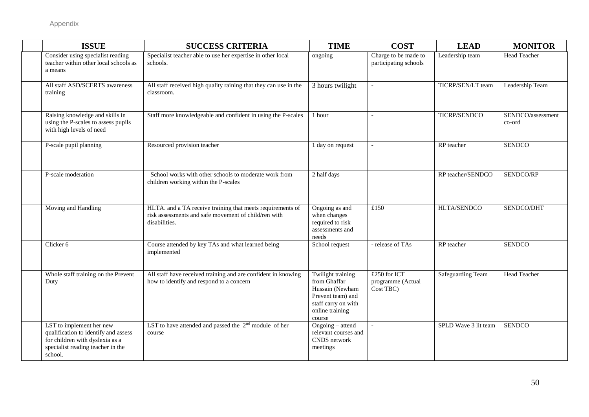| <b>ISSUE</b>                                                                                                                                        | <b>SUCCESS CRITERIA</b>                                                                                                             | <b>TIME</b>                                                                                                                   | <b>COST</b>                                    | <b>LEAD</b>              | <b>MONITOR</b>              |
|-----------------------------------------------------------------------------------------------------------------------------------------------------|-------------------------------------------------------------------------------------------------------------------------------------|-------------------------------------------------------------------------------------------------------------------------------|------------------------------------------------|--------------------------|-----------------------------|
| Consider using specialist reading<br>teacher within other local schools as<br>a means                                                               | Specialist teacher able to use her expertise in other local<br>schools.                                                             | ongoing                                                                                                                       | Charge to be made to<br>participating schools  | Leadership team          | <b>Head Teacher</b>         |
| All staff ASD/SCERTS awareness<br>training                                                                                                          | All staff received high quality raining that they can use in the<br>classroom.                                                      | 3 hours twilight                                                                                                              | $\mathbf{r}$                                   | TICRP/SEN/LT team        | Leadership Team             |
| Raising knowledge and skills in<br>using the P-scales to assess pupils<br>with high levels of need                                                  | Staff more knowledgeable and confident in using the P-scales                                                                        | 1 hour                                                                                                                        |                                                | <b>TICRP/SENDCO</b>      | SENDCO/assessment<br>co-ord |
| P-scale pupil planning                                                                                                                              | Resourced provision teacher                                                                                                         | 1 day on request                                                                                                              |                                                | RP teacher               | <b>SENDCO</b>               |
| P-scale moderation                                                                                                                                  | School works with other schools to moderate work from<br>children working within the P-scales                                       | 2 half days                                                                                                                   |                                                | RP teacher/SENDCO        | SENDCO/RP                   |
| Moving and Handling                                                                                                                                 | HLTA. and a TA receive training that meets requirements of<br>risk assessments and safe movement of child/ren with<br>disabilities. | Ongoing as and<br>when changes<br>required to risk<br>assessments and<br>needs                                                | £150                                           | HLTA/SENDCO              | SENDCO/DHT                  |
| Clicker 6                                                                                                                                           | Course attended by key TAs and what learned being<br>implemented                                                                    | School request                                                                                                                | - release of TAs                               | RP teacher               | <b>SENDCO</b>               |
| Whole staff training on the Prevent<br>Duty                                                                                                         | All staff have received training and are confident in knowing<br>how to identify and respond to a concern                           | Twilight training<br>from Ghaffar<br>Hussain (Newham<br>Prevent team) and<br>staff carry on with<br>online training<br>course | £250 for ICT<br>programme (Actual<br>Cost TBC) | <b>Safeguarding Team</b> | <b>Head Teacher</b>         |
| LST to implement her new<br>qualification to identify and assess<br>for children with dyslexia as a<br>specialist reading teacher in the<br>school. | LST to have attended and passed the $2nd$ module of her<br>course                                                                   | Ongoing - attend<br>relevant courses and<br>CNDS network<br>meetings                                                          |                                                | SPLD Wave 3 lit team     | <b>SENDCO</b>               |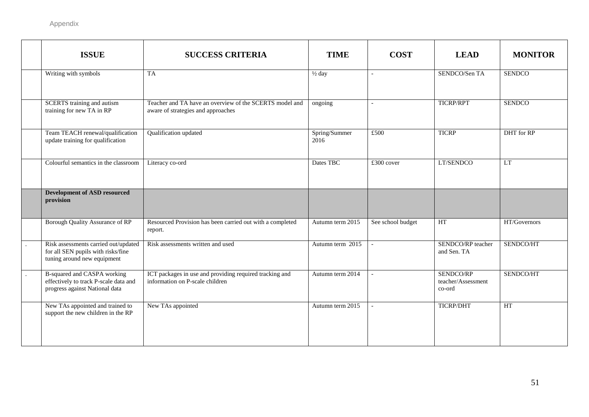| <b>ISSUE</b>                                                                                              | <b>SUCCESS CRITERIA</b>                                                                       | <b>TIME</b>           | <b>COST</b>       | <b>LEAD</b>                               | <b>MONITOR</b> |
|-----------------------------------------------------------------------------------------------------------|-----------------------------------------------------------------------------------------------|-----------------------|-------------------|-------------------------------------------|----------------|
| Writing with symbols                                                                                      | TA                                                                                            | $\frac{1}{2}$ day     | $\overline{a}$    | SENDCO/Sen TA                             | <b>SENDCO</b>  |
| <b>SCERTS</b> training and autism<br>training for new TA in RP                                            | Teacher and TA have an overview of the SCERTS model and<br>aware of strategies and approaches | ongoing               | $\sim$            | <b>TICRP/RPT</b>                          | <b>SENDCO</b>  |
| Team TEACH renewal/qualification<br>update training for qualification                                     | Qualification updated                                                                         | Spring/Summer<br>2016 | £500              | <b>TICRP</b>                              | DHT for RP     |
| Colourful semantics in the classroom                                                                      | Literacy co-ord                                                                               | Dates TBC             | £300 cover        | LT/SENDCO                                 | LT             |
| <b>Development of ASD resourced</b><br>provision                                                          |                                                                                               |                       |                   |                                           |                |
| Borough Quality Assurance of RP                                                                           | Resourced Provision has been carried out with a completed<br>report.                          | Autumn term 2015      | See school budget | HT                                        | HT/Governors   |
| Risk assessments carried out/updated<br>for all SEN pupils with risks/fine<br>tuning around new equipment | Risk assessments written and used                                                             | Autumn term 2015      | $\mathbb{Z}^2$    | SENDCO/RP teacher<br>and Sen. TA          | SENDCO/HT      |
| B-squared and CASPA working<br>effectively to track P-scale data and<br>progress against National data    | ICT packages in use and providing required tracking and<br>information on P-scale children    | Autumn term 2014      | $\sim$            | SENDCO/RP<br>teacher/Assessment<br>co-ord | SENDCO/HT      |
| New TAs appointed and trained to<br>support the new children in the RP                                    | New TAs appointed                                                                             | Autumn term 2015      | $\sim$            | TICRP/DHT                                 | HT             |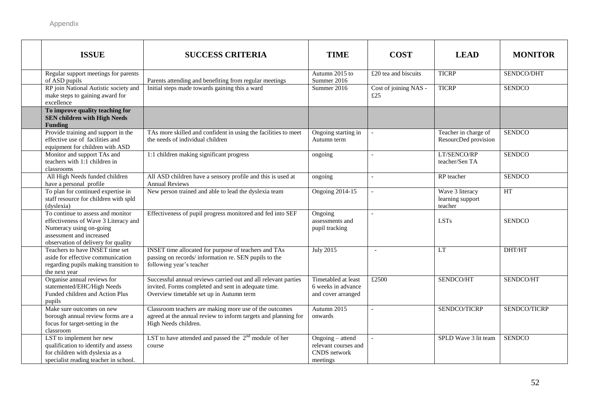| <b>ISSUE</b>                                                                                                                                                            | <b>SUCCESS CRITERIA</b>                                                                                                                                           | <b>TIME</b>                                                                 | <b>COST</b>                  | <b>LEAD</b>                                    | <b>MONITOR</b> |
|-------------------------------------------------------------------------------------------------------------------------------------------------------------------------|-------------------------------------------------------------------------------------------------------------------------------------------------------------------|-----------------------------------------------------------------------------|------------------------------|------------------------------------------------|----------------|
| Regular support meetings for parents<br>of ASD pupils                                                                                                                   | Parents attending and benefiting from regular meetings                                                                                                            | Autumn 2015 to<br>Summer 2016                                               | $£20$ tea and biscuits       | <b>TICRP</b>                                   | SENDCO/DHT     |
| RP join National Autistic society and<br>make steps to gaining award for<br>excellence                                                                                  | Initial steps made towards gaining this a ward                                                                                                                    | Summer 2016                                                                 | Cost of joining NAS -<br>£25 | <b>TICRP</b>                                   | <b>SENDCO</b>  |
| To improve quality teaching for<br><b>SEN children with High Needs</b><br><b>Funding</b>                                                                                |                                                                                                                                                                   |                                                                             |                              |                                                |                |
| Provide training and support in the<br>effective use of facilities and<br>equipment for children with ASD                                                               | TAs more skilled and confident in using the facilities to meet<br>the needs of individual children                                                                | Ongoing starting in<br>Autumn term                                          |                              | Teacher in charge of<br>ResourcDed provision   | <b>SENDCO</b>  |
| Monitor and support TAs and<br>teachers with 1:1 children in<br>classrooms                                                                                              | 1:1 children making significant progress                                                                                                                          | ongoing                                                                     |                              | LT/SENCO/RP<br>teacher/Sen TA                  | <b>SENDCO</b>  |
| All High Needs funded children<br>have a personal profile                                                                                                               | All ASD children have a sensory profile and this is used at<br><b>Annual Reviews</b>                                                                              | ongoing                                                                     | $\overline{\phantom{a}}$     | RP teacher                                     | <b>SENDCO</b>  |
| To plan for continued expertise in<br>staff resource for children with spld<br>(dyslexia)                                                                               | New person trained and able to lead the dyslexia team                                                                                                             | <b>Ongoing 2014-15</b>                                                      |                              | Wave 3 literacy<br>learning support<br>teacher | HT             |
| To continue to assess and monitor<br>effectiveness of Wave 3 Literacy and<br>Numeracy using on-going<br>assessment and increased<br>observation of delivery for quality | Effectiveness of pupil progress monitored and fed into SEF                                                                                                        | Ongoing<br>assessments and<br>pupil tracking                                |                              | <b>LSTs</b>                                    | <b>SENDCO</b>  |
| Teachers to have INSET time set<br>aside for effective communication<br>regarding pupils making transition to<br>the next year                                          | INSET time allocated for purpose of teachers and TAs<br>passing on records/information re. SEN pupils to the<br>following year's teacher                          | <b>July 2015</b>                                                            |                              | <b>LT</b>                                      | DHT/HT         |
| Organise annual reviews for<br>statemented/EHC/High Needs<br>Funded children and Action Plus<br>pupils                                                                  | Successful annual reviews carried out and all relevant parties<br>invited. Forms completed and sent in adequate time.<br>Overview timetable set up in Autumn term | Timetabled at least<br>6 weeks in advance<br>and cover arranged             | £2500                        | SENDCO/HT                                      | SENDCO/HT      |
| Make sure outcomes on new<br>borough annual review forms are a<br>focus for target-setting in the<br>classroom                                                          | Classroom teachers are making more use of the outcomes<br>agreed at the annual review to inform targets and planning for<br>High Needs children.                  | Autumn 2015<br>onwards                                                      |                              | SENDCO/TICRP                                   | SENDCO/TICRP   |
| LST to implement her new<br>qualification to identify and assess<br>for children with dyslexia as a<br>specialist reading teacher in school.                            | LST to have attended and passed the $2nd$ module of her<br>course                                                                                                 | Ongoing - attend<br>relevant courses and<br><b>CNDS</b> network<br>meetings | $\sim$                       | SPLD Wave 3 lit team                           | <b>SENDCO</b>  |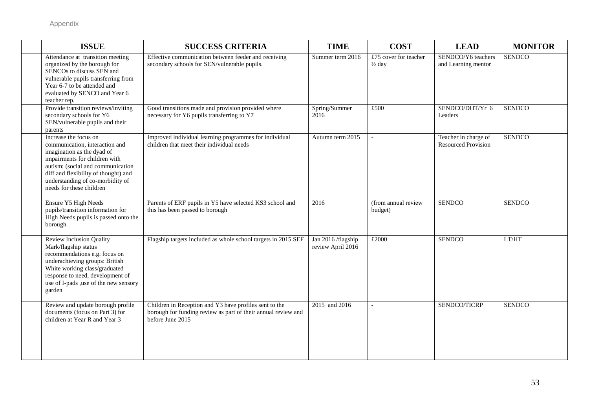| <b>ISSUE</b>                                                                                                                                                                                                                                                        | <b>SUCCESS CRITERIA</b>                                                                                                                     | <b>TIME</b>                             | <b>COST</b>                                | <b>LEAD</b>                                        | <b>MONITOR</b> |
|---------------------------------------------------------------------------------------------------------------------------------------------------------------------------------------------------------------------------------------------------------------------|---------------------------------------------------------------------------------------------------------------------------------------------|-----------------------------------------|--------------------------------------------|----------------------------------------------------|----------------|
| Attendance at transition meeting<br>organized by the borough for<br>SENCOs to discuss SEN and<br>vulnerable pupils transferring from<br>Year 6-7 to be attended and<br>evaluated by SENCO and Year 6<br>teacher rep.                                                | Effective communication between feeder and receiving<br>secondary schools for SEN/vulnerable pupils.                                        | Summer term 2016                        | £75 cover for teacher<br>$\frac{1}{2}$ day | SENDCO/Y6 teachers<br>and Learning mentor          | <b>SENDCO</b>  |
| Provide transition reviews/inviting<br>secondary schools for Y6<br>SEN/vulnerable pupils and their<br>parents                                                                                                                                                       | Good transitions made and provision provided where<br>necessary for Y6 pupils transferring to Y7                                            | Spring/Summer<br>2016                   | £500                                       | SENDCO/DHT/Yr 6<br>Leaders                         | <b>SENDCO</b>  |
| Increase the focus on<br>communication, interaction and<br>imagination as the dyad of<br>impairments for children with<br>autism: (social and communication<br>diff and flexibility of thought) and<br>understanding of co-morbidity of<br>needs for these children | Improved individual learning programmes for individual<br>children that meet their individual needs                                         | Autumn term 2015                        | $\overline{a}$                             | Teacher in charge of<br><b>Resourced Provision</b> | <b>SENDCO</b>  |
| Ensure Y5 High Needs<br>pupils/transition information for<br>High Needs pupils is passed onto the<br>borough                                                                                                                                                        | Parents of ERF pupils in Y5 have selected KS3 school and<br>this has been passed to borough                                                 | 2016                                    | (from annual review<br>budget)             | <b>SENDCO</b>                                      | <b>SENDCO</b>  |
| <b>Review Inclusion Quality</b><br>Mark/flagship status<br>recommendations e.g. focus on<br>underachieving groups: British<br>White working class/graduated<br>response to need, development of<br>use of I-pads , use of the new sensory<br>garden                 | Flagship targets included as whole school targets in 2015 SEF                                                                               | Jan 2016 /flagship<br>review April 2016 | £2000                                      | <b>SENDCO</b>                                      | LT/HT          |
| Review and update borough profile<br>documents (focus on Part 3) for<br>children at Year R and Year 3                                                                                                                                                               | Children in Reception and Y3 have profiles sent to the<br>borough for funding review as part of their annual review and<br>before June 2015 | 2015 and 2016                           | $\overline{a}$                             | SENDCO/TICRP                                       | <b>SENDCO</b>  |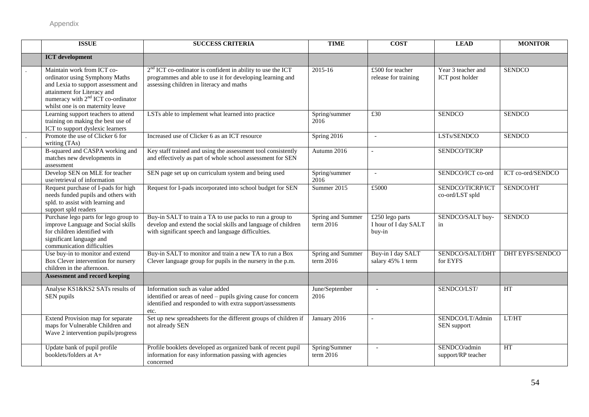| <b>ISSUE</b>                                                                                                                                                                                                             | <b>SUCCESS CRITERIA</b>                                                                                                                                                         | <b>TIME</b>                    | <b>COST</b>                                       | <b>LEAD</b>                           | <b>MONITOR</b>         |
|--------------------------------------------------------------------------------------------------------------------------------------------------------------------------------------------------------------------------|---------------------------------------------------------------------------------------------------------------------------------------------------------------------------------|--------------------------------|---------------------------------------------------|---------------------------------------|------------------------|
| <b>ICT</b> development                                                                                                                                                                                                   |                                                                                                                                                                                 |                                |                                                   |                                       |                        |
| Maintain work from ICT co-<br>ordinator using Symphony Maths<br>and Lexia to support assessment and<br>attainment for Literacy and<br>numeracy with 2 <sup>nd</sup> ICT co-ordinator<br>whilst one is on maternity leave | $2nd$ ICT co-ordinator is confident in ability to use the ICT<br>programmes and able to use it for developing learning and<br>assessing children in literacy and maths          | 2015-16                        | £500 for teacher<br>release for training          | Year 3 teacher and<br>ICT post holder | <b>SENDCO</b>          |
| Learning support teachers to attend<br>training on making the best use of<br>ICT to support dyslexic learners                                                                                                            | LSTs able to implement what learned into practice                                                                                                                               | Spring/summer<br>2016          | £30                                               | <b>SENDCO</b>                         | <b>SENDCO</b>          |
| Promote the use of Clicker 6 for<br>writing (TAs)                                                                                                                                                                        | Increased use of Clicker 6 as an ICT resource                                                                                                                                   | Spring 2016                    | $\sim$                                            | LSTs/SENDCO                           | <b>SENDCO</b>          |
| B-squared and CASPA working and<br>matches new developments in<br>assessment                                                                                                                                             | Key staff trained and using the assessment tool consistently<br>and effectively as part of whole school assessment for SEN                                                      | Autumn 2016                    |                                                   | SENDCO/TICRP                          |                        |
| Develop SEN on MLE for teacher<br>use/retrieval of information                                                                                                                                                           | SEN page set up on curriculum system and being used                                                                                                                             | Spring/summer<br>2016          | $\overline{a}$                                    | SENDCO/ICT co-ord                     | ICT co-ord/SENDCO      |
| Request purchase of I-pads for high<br>needs funded pupils and others with<br>spld. to assist with learning and<br>support spld readers                                                                                  | Request for I-pads incorporated into school budget for SEN                                                                                                                      | Summer 2015                    | £5000                                             | SENDCO/TICRP/ICT<br>co-ord/LST spld   | SENDCO/HT              |
| Purchase lego parts for lego group to<br>improve Language and Social skills<br>for children identified with<br>significant language and<br>communication difficulties                                                    | Buy-in SALT to train a TA to use packs to run a group to<br>develop and extend the social skills and language of children<br>with significant speech and language difficulties. | Spring and Summer<br>term 2016 | £250 lego parts<br>I hour of I day SALT<br>buy-in | SENDCO/SALT buy-<br>in                | <b>SENDCO</b>          |
| Use buy-in to monitor and extend<br>Box Clever intervention for nursery<br>children in the afternoon.                                                                                                                    | Buy-in SALT to monitor and train a new TA to run a Box<br>Clever language group for pupils in the nursery in the p.m.                                                           | Spring and Summer<br>term 2016 | Buy-in I day SALT<br>salary 45% 1 term            | SENDCO/SALT/DHT<br>for EYFS           | <b>DHT EYFS/SENDCO</b> |
| <b>Assessment and record keeping</b>                                                                                                                                                                                     |                                                                                                                                                                                 |                                |                                                   |                                       |                        |
| Analyse KS1&KS2 SATs results of<br>SEN pupils                                                                                                                                                                            | Information such as value added<br>identified or areas of need - pupils giving cause for concern<br>identified and responded to with extra support/assessments<br>etc.          | June/September<br>2016         | $\overline{\phantom{a}}$                          | SENDCO/LST/                           | HT                     |
| Extend Provision map for separate<br>maps for Vulnerable Children and<br>Wave 2 intervention pupils/progress                                                                                                             | Set up new spreadsheets for the different groups of children if<br>not already SEN                                                                                              | January 2016                   | $\overline{\phantom{a}}$                          | SENDCO/LT/Admin<br>SEN support        | LT/HT                  |
| Update bank of pupil profile<br>booklets/folders at A+                                                                                                                                                                   | Profile booklets developed as organized bank of recent pupil<br>information for easy information passing with agencies<br>concerned                                             | Spring/Summer<br>term 2016     |                                                   | SENDCO/admin<br>support/RP teacher    | HT                     |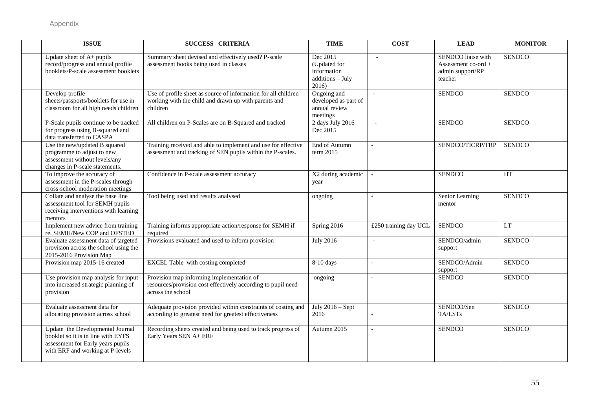| <b>ISSUE</b>                                                                                                                                    | <b>SUCCESS CRITERIA</b>                                                                                                            | <b>TIME</b>                                                          | <b>COST</b>              | <b>LEAD</b>                                                              | <b>MONITOR</b> |
|-------------------------------------------------------------------------------------------------------------------------------------------------|------------------------------------------------------------------------------------------------------------------------------------|----------------------------------------------------------------------|--------------------------|--------------------------------------------------------------------------|----------------|
| Update sheet of A+ pupils<br>record/progress and annual profile<br>booklets/P-scale assessment booklets                                         | Summary sheet devised and effectively used? P-scale<br>assessment books being used in classes                                      | Dec 2015<br>(Updated for<br>information<br>additions - July<br>2016) | $\overline{a}$           | SENDCO liaise with<br>Assessment co-ord +<br>admin support/RP<br>teacher | <b>SENDCO</b>  |
| Develop profile<br>sheets/passports/booklets for use in<br>classroom for all high needs children                                                | Use of profile sheet as source of information for all children<br>working with the child and drawn up with parents and<br>children | Ongoing and<br>developed as part of<br>annual review<br>meetings     | $\equiv$                 | <b>SENDCO</b>                                                            | <b>SENDCO</b>  |
| P-Scale pupils continue to be tracked<br>for progress using B-squared and<br>data transferred to CASPA                                          | All children on P-Scales are on B-Squared and tracked                                                                              | 2 days July 2016<br>Dec 2015                                         | $\overline{a}$           | <b>SENDCO</b>                                                            | <b>SENDCO</b>  |
| Use the new/updated B squared<br>programme to adjust to new<br>assessment without levels/any<br>changes in P-scale statements.                  | Training received and able to implement and use for effective<br>assessment and tracking of SEN pupils within the P-scales.        | End of Autumn<br>term 2015                                           |                          | SENDCO/TICRP/TRP                                                         | <b>SENDCO</b>  |
| To improve the accuracy of<br>assessment in the P-scales through<br>cross-school moderation meetings                                            | Confidence in P-scale assessment accuracy                                                                                          | X2 during academic<br>year                                           |                          | <b>SENDCO</b>                                                            | HT             |
| Collate and analyse the base line<br>assessment tool for SEMH pupils<br>receiving interventions with learning<br>mentors                        | Tool being used and results analysed                                                                                               | ongoing                                                              |                          | Senior Learning<br>mentor                                                | <b>SENDCO</b>  |
| Implement new advice from training<br>re. SEMH/New COP and OFSTED                                                                               | Training informs appropriate action/response for SEMH if<br>required                                                               | Spring 2016                                                          | £250 training day UCL    | <b>SENDCO</b>                                                            | LT             |
| Evaluate assessment data of targeted<br>provision across the school using the<br>2015-2016 Provision Map                                        | Provisions evaluated and used to inform provision                                                                                  | <b>July 2016</b>                                                     | $\sim$                   | SENDCO/admin<br>support                                                  | <b>SENDCO</b>  |
| Provision map 2015-16 created                                                                                                                   | EXCEL Table with costing completed                                                                                                 | 8-10 days                                                            | $\overline{\phantom{a}}$ | SENDCO/Admin<br>support                                                  | <b>SENDCO</b>  |
| Use provision map analysis for input<br>into increased strategic planning of<br>provision                                                       | Provision map informing implementation of<br>resources/provision cost effectively according to pupil need<br>across the school     | ongoing                                                              |                          | <b>SENDCO</b>                                                            | <b>SENDCO</b>  |
| Evaluate assessment data for<br>allocating provision across school                                                                              | Adequate provision provided within constraints of costing and<br>according to greatest need for greatest effectiveness             | July $2016 - Sept$<br>2016                                           |                          | SENDCO/Sen<br>TA/LSTs                                                    | <b>SENDCO</b>  |
| Update the Developmental Journal<br>booklet so it is in line with EYFS<br>assessment for Early years pupils<br>with ERF and working at P-levels | Recording sheets created and being used to track progress of<br>Early Years SEN A+ ERF                                             | Autumn 2015                                                          |                          | <b>SENDCO</b>                                                            | <b>SENDCO</b>  |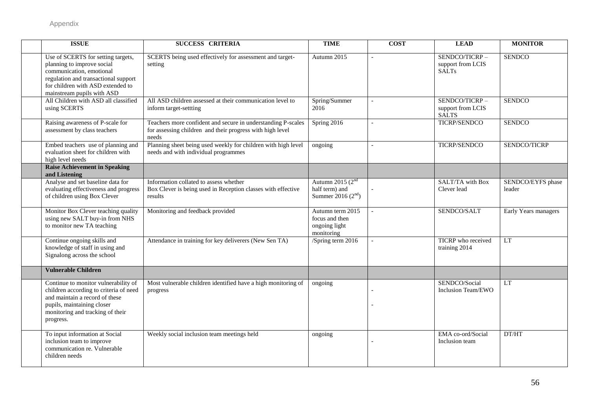| <b>ISSUE</b>                                                                                                                                                                                            | <b>SUCCESS CRITERIA</b>                                                                                                            | <b>TIME</b>                                                       | <b>COST</b>              | <b>LEAD</b>                                        | <b>MONITOR</b>              |
|---------------------------------------------------------------------------------------------------------------------------------------------------------------------------------------------------------|------------------------------------------------------------------------------------------------------------------------------------|-------------------------------------------------------------------|--------------------------|----------------------------------------------------|-----------------------------|
| Use of SCERTS for setting targets,<br>planning to improve social<br>communication, emotional<br>regulation and transactional support<br>for children with ASD extended to<br>mainstream pupils with ASD | SCERTS being used effectively for assessment and target-<br>setting                                                                | Autumn 2015                                                       | $\blacksquare$           | SENDCO/TICRP-<br>support from LCIS<br><b>SALTs</b> | <b>SENDCO</b>               |
| All Children with ASD all classified<br>using SCERTS                                                                                                                                                    | All ASD children assessed at their communication level to<br>inform target-settting                                                | Spring/Summer<br>2016                                             | $\overline{\phantom{a}}$ | SENDCO/TICRP-<br>support from LCIS<br><b>SALTS</b> | <b>SENDCO</b>               |
| Raising awareness of P-scale for<br>assessment by class teachers                                                                                                                                        | Teachers more confident and secure in understanding P-scales<br>for assessing children and their progress with high level<br>needs | Spring 2016                                                       | $\mathbf{r}$             | <b>TICRP/SENDCO</b>                                | <b>SENDCO</b>               |
| Embed teachers use of planning and<br>evaluation sheet for children with<br>high level needs                                                                                                            | Planning sheet being used weekly for children with high level<br>needs and with individual programmes                              | ongoing                                                           |                          | <b>TICRP/SENDCO</b>                                | SENDCO/TICRP                |
| <b>Raise Achievement in Speaking</b><br>and Listening                                                                                                                                                   |                                                                                                                                    |                                                                   |                          |                                                    |                             |
| Analyse and set baseline data for<br>evaluating effectiveness and progress<br>of children using Box Clever                                                                                              | Information collated to assess whether<br>Box Clever is being used in Reception classes with effective<br>results                  | Autumn 2015 $(2nd$<br>half term) and<br>Summer 2016 $(2^{nd})$    |                          | SALT/TA with Box<br>Clever lead                    | SENDCO/EYFS phase<br>leader |
| Monitor Box Clever teaching quality<br>using new SALT buy-in from NHS<br>to monitor new TA teaching                                                                                                     | Monitoring and feedback provided                                                                                                   | Autumn term 2015<br>focus and then<br>ongoing light<br>monitoring | $\mathbf{r}$             | SENDCO/SALT                                        | Early Years managers        |
| Continue ongoing skills and<br>knowledge of staff in using and<br>Signalong across the school                                                                                                           | Attendance in training for key deliverers (New Sen TA)                                                                             | /Spring term 2016                                                 |                          | TICRP who received<br>training 2014                | <b>LT</b>                   |
| <b>Vulnerable Children</b>                                                                                                                                                                              |                                                                                                                                    |                                                                   |                          |                                                    |                             |
| Continue to monitor vulnerability of<br>children according to criteria of need<br>and maintain a record of these<br>pupils, maintaining closer<br>monitoring and tracking of their<br>progress.         | Most vulnerable children identified have a high monitoring of<br>progress                                                          | ongoing                                                           |                          | SENDCO/Social<br>Inclusion Team/EWO                | <b>LT</b>                   |
| To input information at Social<br>inclusion team to improve<br>communication re. Vulnerable<br>children needs                                                                                           | Weekly social inclusion team meetings held                                                                                         | ongoing                                                           |                          | EMA co-ord/Social<br>Inclusion team                | DT/HT                       |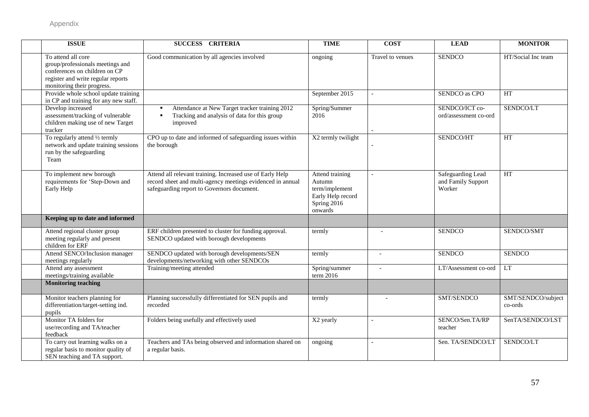| <b>ISSUE</b>                                                                                                                                                | <b>SUCCESS CRITERIA</b>                                                                                                                                               | <b>TIME</b>                                                                                | <b>COST</b>              | <b>LEAD</b>                                       | <b>MONITOR</b>                |
|-------------------------------------------------------------------------------------------------------------------------------------------------------------|-----------------------------------------------------------------------------------------------------------------------------------------------------------------------|--------------------------------------------------------------------------------------------|--------------------------|---------------------------------------------------|-------------------------------|
| To attend all core<br>group/professionals meetings and<br>conferences on children on CP<br>register and write regular reports<br>monitoring their progress. | Good communication by all agencies involved                                                                                                                           | ongoing                                                                                    | Travel to venues         | <b>SENDCO</b>                                     | HT/Social Inc team            |
| Provide whole school update training<br>in CP and training for any new staff.                                                                               |                                                                                                                                                                       | September 2015                                                                             |                          | SENDCO as CPO                                     | <b>HT</b>                     |
| Develop increased<br>assessment/tracking of vulnerable<br>children making use of new Target<br>tracker                                                      | Attendance at New Target tracker training 2012<br>Tracking and analysis of data for this group<br>improved                                                            | Spring/Summer<br>2016                                                                      |                          | SENDCO/ICT co-<br>ord/assessment co-ord           | SENDCO/LT                     |
| To regularly attend 1/2 termly<br>network and update training sessions<br>run by the safeguarding<br>Team                                                   | CPO up to date and informed of safeguarding issues within<br>the borough                                                                                              | X2 termly twilight                                                                         |                          | SENDCO/HT                                         | HT                            |
| To implement new borough<br>requirements for 'Step-Down and<br>Early Help                                                                                   | Attend all relevant training. Increased use of Early Help<br>record sheet and multi-agency meetings evidenced in annual<br>safeguarding report to Governors document. | Attend training<br>Autumn<br>term/implement<br>Early Help record<br>Spring 2016<br>onwards |                          | Safeguarding Lead<br>and Family Support<br>Worker | HT                            |
| Keeping up to date and informed                                                                                                                             |                                                                                                                                                                       |                                                                                            |                          |                                                   |                               |
| Attend regional cluster group<br>meeting regularly and present<br>children for ERF                                                                          | ERF children presented to cluster for funding approval.<br>SENDCO updated with borough developments                                                                   | termly                                                                                     |                          | <b>SENDCO</b>                                     | SENDCO/SMT                    |
| Attend SENCO/Inclusion manager<br>meetings regularly                                                                                                        | SENDCO updated with borough developments/SEN<br>developments/networking with other SENDCOs                                                                            | termly                                                                                     | $\overline{\phantom{a}}$ | <b>SENDCO</b>                                     | <b>SENDCO</b>                 |
| Attend any assessment<br>meetings/training available                                                                                                        | Training/meeting attended                                                                                                                                             | Spring/summer<br>term 2016                                                                 | $\overline{\phantom{a}}$ | LT/Assessment co-ord                              | LT                            |
| <b>Monitoring teaching</b>                                                                                                                                  |                                                                                                                                                                       |                                                                                            |                          |                                                   |                               |
| Monitor teachers planning for<br>differentiation/target-setting ind.<br>pupils                                                                              | Planning successfully differentiated for SEN pupils and<br>recorded                                                                                                   | termly                                                                                     |                          | SMT/SENDCO                                        | SMT/SENDCO/subject<br>co-ords |
| Monitor TA folders for<br>use/recording and TA/teacher<br>feedback                                                                                          | Folders being usefully and effectively used                                                                                                                           | X2 yearly                                                                                  | $\overline{\phantom{a}}$ | SENCO/Sen.TA/RP<br>teacher                        | SenTA/SENDCO/LST              |
| To carry out learning walks on a<br>regular basis to monitor quality of<br>SEN teaching and TA support.                                                     | Teachers and TAs being observed and information shared on<br>a regular basis.                                                                                         | ongoing                                                                                    |                          | Sen. TA/SENDCO/LT                                 | SENDCO/LT                     |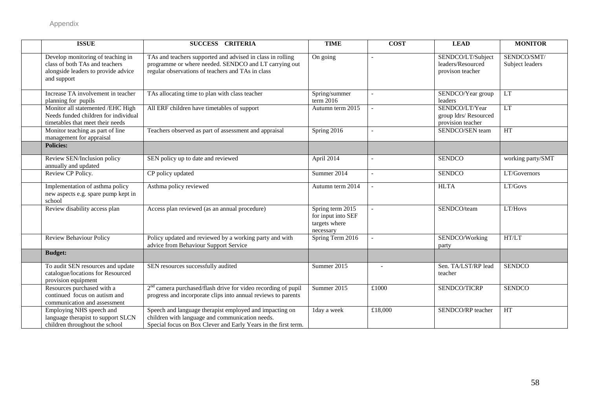| <b>ISSUE</b>                                                                                                              | SUCCESS CRITERIA                                                                                                                                                             | <b>TIME</b>                                                          | <b>COST</b>              | <b>LEAD</b>                                                  | <b>MONITOR</b>                 |
|---------------------------------------------------------------------------------------------------------------------------|------------------------------------------------------------------------------------------------------------------------------------------------------------------------------|----------------------------------------------------------------------|--------------------------|--------------------------------------------------------------|--------------------------------|
| Develop monitoring of teaching in<br>class of both TAs and teachers<br>alongside leaders to provide advice<br>and support | TAs and teachers supported and advised in class in rolling<br>programme or where needed. SENDCO and LT carrying out<br>regular observations of teachers and TAs in class     | On going                                                             |                          | SENDCO/LT/Subject<br>leaders/Resourced<br>provison teacher   | SENDCO/SMT/<br>Subject leaders |
| Increase TA involvement in teacher<br>planning for pupils                                                                 | TAs allocating time to plan with class teacher                                                                                                                               | Spring/summer<br>term 2016                                           | $\overline{\phantom{a}}$ | SENDCO/Year group<br>leaders                                 | <b>LT</b>                      |
| Monitor all statemented /EHC High<br>Needs funded children for individual<br>timetables that meet their needs             | All ERF children have timetables of support                                                                                                                                  | Autumn term 2015                                                     |                          | SENDCO/LT/Year<br>group ldrs/ Resourced<br>provision teacher | <b>LT</b>                      |
| Monitor teaching as part of line<br>management for appraisal                                                              | Teachers observed as part of assessment and appraisal                                                                                                                        | Spring 2016                                                          |                          | SENDCO/SEN team                                              | HT                             |
| <b>Policies:</b>                                                                                                          |                                                                                                                                                                              |                                                                      |                          |                                                              |                                |
| Review SEN/Inclusion policy<br>annually and updated                                                                       | SEN policy up to date and reviewed                                                                                                                                           | April 2014                                                           |                          | <b>SENDCO</b>                                                | working party/SMT              |
| Review CP Policy.                                                                                                         | CP policy updated                                                                                                                                                            | Summer 2014                                                          |                          | <b>SENDCO</b>                                                | LT/Governors                   |
| Implementation of asthma policy<br>new aspects e.g. spare pump kept in<br>school                                          | Asthma policy reviewed                                                                                                                                                       | Autumn term 2014                                                     | $\sim$                   | <b>HLTA</b>                                                  | LT/Govs                        |
| Review disability access plan                                                                                             | Access plan reviewed (as an annual procedure)                                                                                                                                | Spring term 2015<br>for input into SEF<br>targets where<br>necessary | $\overline{\phantom{a}}$ | SENDCO/team                                                  | LT/Hovs                        |
| Review Behaviour Policy                                                                                                   | Policy updated and reviewed by a working party and with<br>advice from Behaviour Support Service                                                                             | Spring Term 2016                                                     | $\overline{a}$           | SENDCO/Working<br>party                                      | HT/LT                          |
| <b>Budget:</b>                                                                                                            |                                                                                                                                                                              |                                                                      |                          |                                                              |                                |
| To audit SEN resources and update<br>catalogue/locations for Resourced<br>provision equipment                             | SEN resources successfully audited                                                                                                                                           | Summer 2015                                                          |                          | Sen. TA/LST/RP lead<br>teacher                               | <b>SENDCO</b>                  |
| Resources purchased with a<br>continued focus on autism and<br>communication and assessment                               | $2nd$ camera purchased/flash drive for video recording of pupil<br>progress and incorporate clips into annual reviews to parents                                             | Summer 2015                                                          | £1000                    | SENDCO/TICRP                                                 | <b>SENDCO</b>                  |
| Employing NHS speech and<br>language therapist to support SLCN<br>children throughout the school                          | Speech and language therapist employed and impacting on<br>children with language and communication needs.<br>Special focus on Box Clever and Early Years in the first term. | 1day a week                                                          | £18,000                  | SENDCO/RP teacher                                            | HT                             |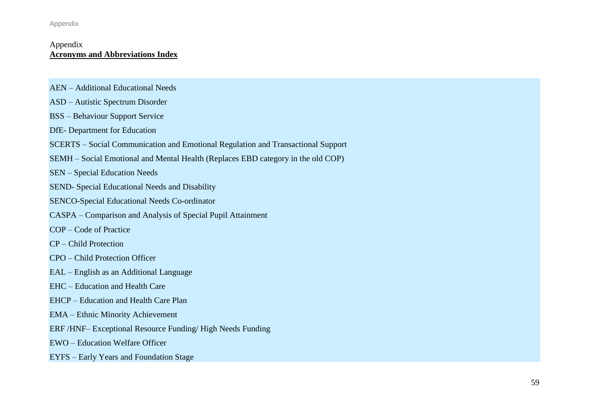Appendix

#### Appendix **Acronyms and Abbreviations Index**

- AEN Additional Educational Needs
- ASD Autistic Spectrum Disorder
- BSS Behaviour Support Service
- DfE- Department for Education
- SCERTS Social Communication and Emotional Regulation and Transactional Support
- SEMH Social Emotional and Mental Health (Replaces EBD category in the old COP)

SEN – Special Education Needs

- SEND- Special Educational Needs and Disability
- SENCO-Special Educational Needs Co-ordinator
- CASPA Comparison and Analysis of Special Pupil Attainment
- COP Code of Practice
- CP Child Protection
- CPO Child Protection Officer
- EAL English as an Additional Language
- EHC Education and Health Care
- EHCP Education and Health Care Plan
- EMA Ethnic Minority Achievement
- ERF /HNF– Exceptional Resource Funding/ High Needs Funding
- EWO Education Welfare Officer
- EYFS Early Years and Foundation Stage